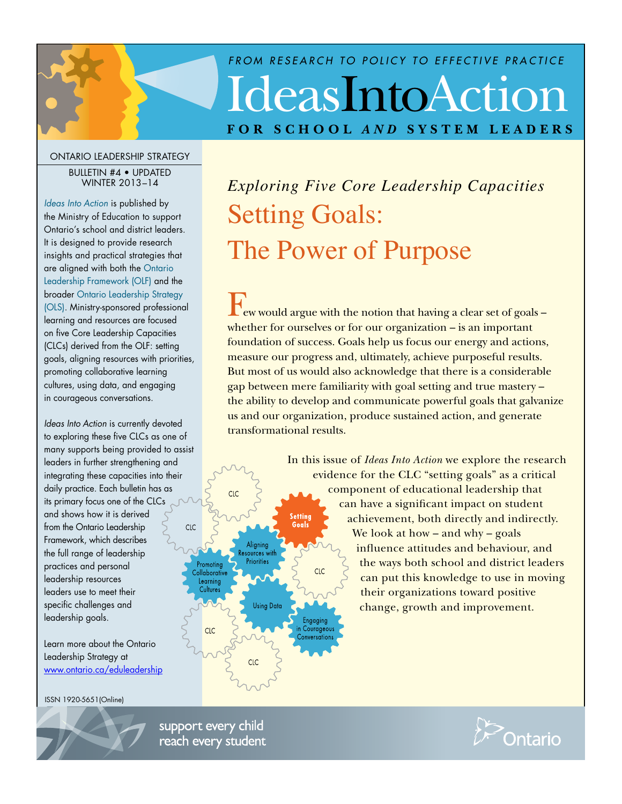# IdeasIntoAction **FOR SCHOOL** *AND* **SYSTEM LEADERS** *FROM RESEARCH TO POLICY TO EFFECTIVE PRACTICE*

#### ONTARIO LEADERSHIP STRATEGY

#### BULLETIN #4 • UPDATED WINTER 2013–14

*[Ideas Into Action](http://www.edu.gov.on.ca/eng/policyfunding/leadership/ideasIntoAction.html)* is published by the Ministry of Education to support Ontario's school and district leaders. It is designed to provide research insights and practical strategies that are aligned with both the [Ontario](http://www.edu.gov.on.ca/eng/policyfunding/leadership/framework.html)  [Leadership Framework \(OLF\)](http://www.edu.gov.on.ca/eng/policyfunding/leadership/framework.html) and the broader [Ontario Leadership Strategy](http://www.edu.gov.on.ca/eng/policyfunding/leadership/actionPlan.html)  [\(OLS\).](http://www.edu.gov.on.ca/eng/policyfunding/leadership/actionPlan.html) Ministry-sponsored professional learning and resources are focused on five Core Leadership Capacities (CLCs) derived from the OLF: setting goals, aligning resources with priorities, promoting collaborative learning cultures, using data, and engaging in courageous conversations.

*Ideas Into Action* is currently devoted to exploring these five CLCs as one of many supports being provided to assist leaders in further strengthening and integrating these capacities into their daily practice. Each bulletin has as its primary focus one of the CLCs and shows how it is derived from the Ontario Leadership Framework, which describes the full range of leadership practices and personal leadership resources leaders use to meet their specific challenges and leadership goals.

Learn more about the Ontario Leadership Strategy at www.ontario.ca/eduleadership

ISSN 1920-5651(Online)



*Exploring Five Core Leadership Capacities*  Setting Goals: The Power of Purpose

Few would argue with the notion that having a clear set of goals – whether for ourselves or for our organization – is an important foundation of success. Goals help us focus our energy and actions, measure our progress and, ultimately, achieve purposeful results. But most of us would also acknowledge that there is a considerable gap between mere familiarity with goal setting and true mastery – the ability to develop and communicate powerful goals that galvanize us and our organization, produce sustained action, and generate transformational results.

> In this issue of *Ideas Into Action* we explore the research evidence for the CLC "setting goals" as a critical component of educational leadership that can have a significant impact on student achievement, both directly and indirectly. We look at how – and why – goals influence attitudes and behaviour, and the ways both school and district leaders  $CLC$ can put this knowledge to use in moving their organizations toward positive change, growth and improvement.

support every child reach every student

 $CLC$ 

Aligning Resources with Priorities

**Using Data** 

CLC

CLC

Promoting

Collaborative Learning Cultures

CLC

**Setting** Goals

Engaging

in Courageous Conversations

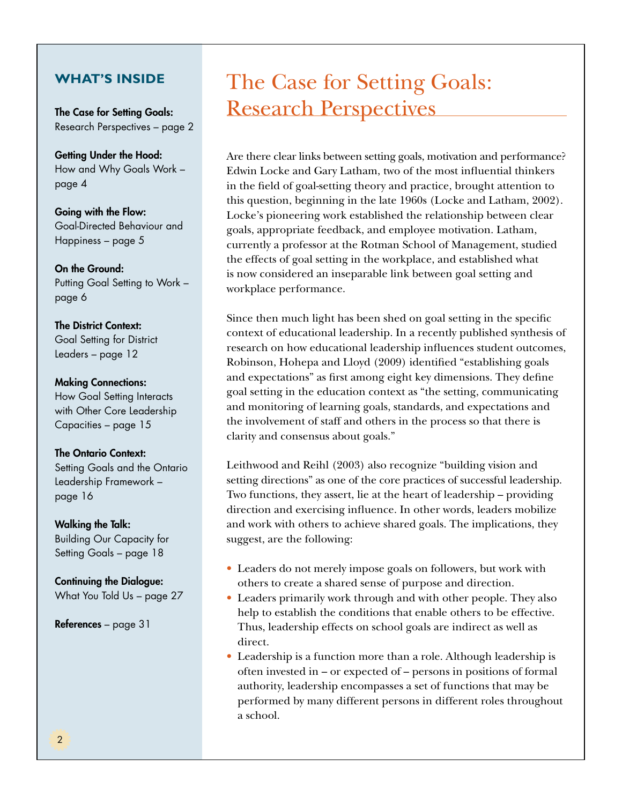## **WHAT'S INSIDE**

The Case for Setting Goals: Research Perspectives – page 2

Getting Under the Hood: How and Why Goals Work – page 4

Going with the Flow: Goal-Directed Behaviour and Happiness – page 5

On the Ground: Putting Goal Setting to Work – page 6

The District Context: Goal Setting for District Leaders – page 12

#### Making Connections:

How Goal Setting Interacts with Other Core Leadership Capacities – page 15

#### The Ontario Context:

Setting Goals and the Ontario Leadership Framework – page 16

Walking the Talk:

Building Our Capacity for Setting Goals – page 18

Continuing the Dialogue: What You Told Us – page 27

References – page 31

## The Case for Setting Goals: Research Perspectives

Are there clear links between setting goals, motivation and performance? Edwin Locke and Gary Latham, two of the most influential thinkers in the field of goal-setting theory and practice, brought attention to this question, beginning in the late 1960s (Locke and Latham, 2002). Locke's pioneering work established the relationship between clear goals, appropriate feedback, and employee motivation. Latham, currently a professor at the Rotman School of Management, studied the effects of goal setting in the workplace, and established what is now considered an inseparable link between goal setting and workplace performance.

Since then much light has been shed on goal setting in the specific context of educational leadership. In a recently published synthesis of research on how educational leadership influences student outcomes, Robinson, Hohepa and Lloyd (2009) identified "establishing goals and expectations" as first among eight key dimensions. They define goal setting in the education context as "the setting, communicating and monitoring of learning goals, standards, and expectations and the involvement of staff and others in the process so that there is clarity and consensus about goals."

Leithwood and Reihl (2003) also recognize "building vision and setting directions" as one of the core practices of successful leadership. Two functions, they assert, lie at the heart of leadership – providing direction and exercising influence. In other words, leaders mobilize and work with others to achieve shared goals. The implications, they suggest, are the following:

- • Leaders do not merely impose goals on followers, but work with others to create a shared sense of purpose and direction.
- Leaders primarily work through and with other people. They also help to establish the conditions that enable others to be effective. Thus, leadership effects on school goals are indirect as well as direct.
- Leadership is a function more than a role. Although leadership is often invested in – or expected of – persons in positions of formal authority, leadership encompasses a set of functions that may be performed by many different persons in different roles throughout a school.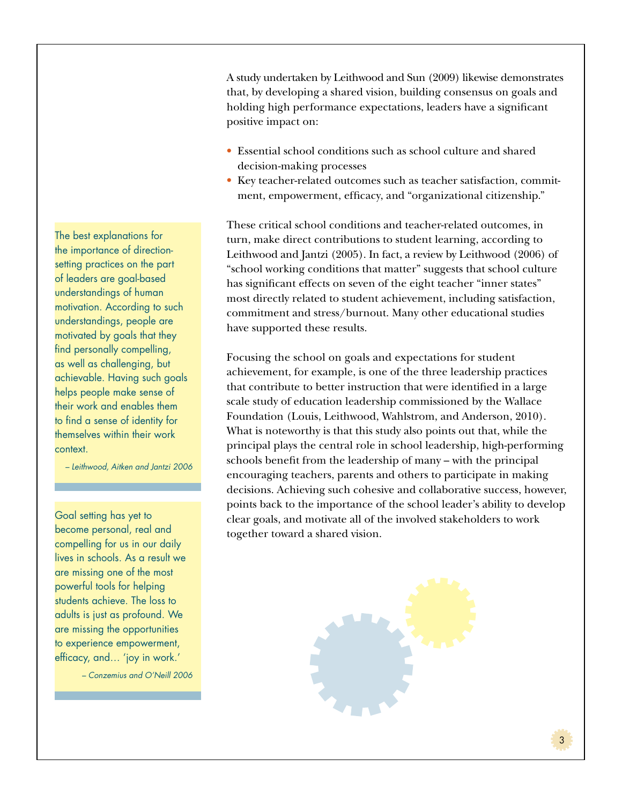A study undertaken by Leithwood and Sun (2009) likewise demonstrates that, by developing a shared vision, building consensus on goals and holding high performance expectations, leaders have a significant positive impact on:

- Essential school conditions such as school culture and shared decision-making processes
- Key teacher-related outcomes such as teacher satisfaction, commitment, empowerment, efficacy, and "organizational citizenship."

These critical school conditions and teacher-related outcomes, in turn, make direct contributions to student learning, according to Leithwood and Jantzi (2005). In fact, a review by Leithwood (2006) of "school working conditions that matter" suggests that school culture has significant effects on seven of the eight teacher "inner states" most directly related to student achievement, including satisfaction, commitment and stress/burnout. Many other educational studies have supported these results.

Focusing the school on goals and expectations for student achievement, for example, is one of the three leadership practices that contribute to better instruction that were identified in a large scale study of education leadership commissioned by the Wallace Foundation (Louis, Leithwood, Wahlstrom, and Anderson, 2010). What is noteworthy is that this study also points out that, while the principal plays the central role in school leadership, high-performing schools benefit from the leadership of many – with the principal encouraging teachers, parents and others to participate in making decisions. Achieving such cohesive and collaborative success, however, points back to the importance of the school leader's ability to develop clear goals, and motivate all of the involved stakeholders to work together toward a shared vision.



The best explanations for the importance of directionsetting practices on the part of leaders are goal-based understandings of human motivation. According to such understandings, people are motivated by goals that they find personally compelling, as well as challenging, but achievable. Having such goals helps people make sense of their work and enables them to find a sense of identity for themselves within their work context.

*– Leithwood, Aitken and Jantzi 2006*

Goal setting has yet to become personal, real and compelling for us in our daily lives in schools. As a result we are missing one of the most powerful tools for helping students achieve. The loss to adults is just as profound. We are missing the opportunities to experience empowerment, efficacy, and… 'joy in work.'

*– Conzemius and O'Neill 2006*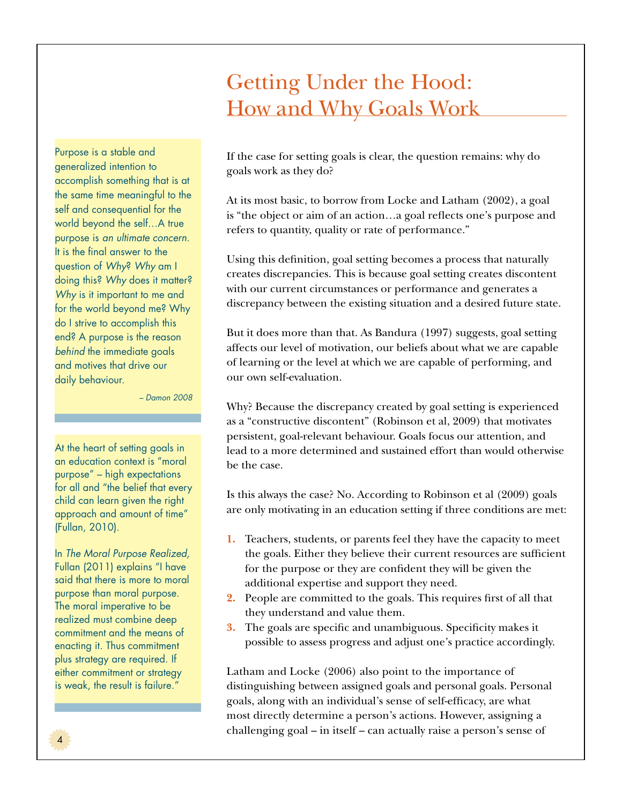## Getting Under the Hood: How and Why Goals Work

Purpose is a stable and generalized intention to accomplish something that is at the same time meaningful to the self and consequential for the world beyond the self…A true purpose is *an ultimate concern*. It is the final answer to the question of *Why*? *Why* am I doing this? *Why* does it matter? *Why* is it important to me and for the world beyond me? Why do I strive to accomplish this end? A purpose is the reason *behind* the immediate goals and motives that drive our daily behaviour.

*– Damon 2008*

At the heart of setting goals in an education context is "moral purpose" – high expectations for all and "the belief that every child can learn given the right approach and amount of time" (Fullan, 2010).

In *The Moral Purpose Realized,*  Fullan (2011) explains "I have said that there is more to moral purpose than moral purpose. The moral imperative to be realized must combine deep commitment and the means of enacting it. Thus commitment plus strategy are required. If either commitment or strategy is weak, the result is failure."

If the case for setting goals is clear, the question remains: why do goals work as they do?

At its most basic, to borrow from Locke and Latham (2002), a goal is "the object or aim of an action…a goal reflects one's purpose and refers to quantity, quality or rate of performance."

Using this definition, goal setting becomes a process that naturally creates discrepancies. This is because goal setting creates discontent with our current circumstances or performance and generates a discrepancy between the existing situation and a desired future state.

But it does more than that. As Bandura (1997) suggests, goal setting affects our level of motivation, our beliefs about what we are capable of learning or the level at which we are capable of performing, and our own self-evaluation.

Why? Because the discrepancy created by goal setting is experienced as a "constructive discontent" (Robinson et al, 2009) that motivates persistent, goal-relevant behaviour. Goals focus our attention, and lead to a more determined and sustained effort than would otherwise be the case.

Is this always the case? No. According to Robinson et al (2009) goals are only motivating in an education setting if three conditions are met:

- **1.** Teachers, students, or parents feel they have the capacity to meet the goals. Either they believe their current resources are sufficient for the purpose or they are confident they will be given the additional expertise and support they need.
- **2.** People are committed to the goals. This requires first of all that they understand and value them.
- **3.** The goals are specific and unambiguous. Specificity makes it possible to assess progress and adjust one's practice accordingly.

Latham and Locke (2006) also point to the importance of distinguishing between assigned goals and personal goals. Personal goals, along with an individual's sense of self-efficacy, are what most directly determine a person's actions. However, assigning a challenging goal – in itself – can actually raise a person's sense of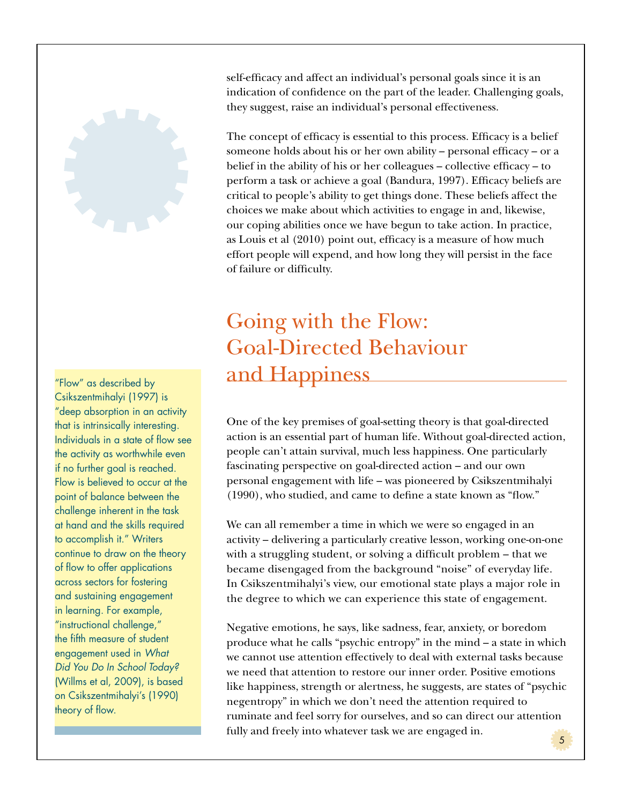

"Flow" as described by Csikszentmihalyi (1997) is "deep absorption in an activity that is intrinsically interesting. Individuals in a state of flow see the activity as worthwhile even if no further goal is reached. Flow is believed to occur at the point of balance between the challenge inherent in the task at hand and the skills required to accomplish it." Writers continue to draw on the theory of flow to offer applications across sectors for fostering and sustaining engagement in learning. For example, "instructional challenge," the fifth measure of student engagement used in *What Did You Do In School Today?* (Willms et al, 2009), is based on Csikszentmihalyi's (1990) theory of flow.

self-efficacy and affect an individual's personal goals since it is an indication of confidence on the part of the leader. Challenging goals, they suggest, raise an individual's personal effectiveness.

The concept of efficacy is essential to this process. Efficacy is a belief someone holds about his or her own ability – personal efficacy – or a belief in the ability of his or her colleagues – collective efficacy – to perform a task or achieve a goal (Bandura, 1997). Efficacy beliefs are critical to people's ability to get things done. These beliefs affect the choices we make about which activities to engage in and, likewise, our coping abilities once we have begun to take action. In practice, as Louis et al (2010) point out, efficacy is a measure of how much effort people will expend, and how long they will persist in the face of failure or difficulty.

## Going with the Flow: Goal-Directed Behaviour and Happiness

One of the key premises of goal-setting theory is that goal-directed action is an essential part of human life. Without goal-directed action, people can't attain survival, much less happiness. One particularly fascinating perspective on goal-directed action – and our own personal engagement with life – was pioneered by Csikszentmihalyi (1990), who studied, and came to define a state known as "flow."

We can all remember a time in which we were so engaged in an activity – delivering a particularly creative lesson, working one-on-one with a struggling student, or solving a difficult problem – that we became disengaged from the background "noise" of everyday life. In Csikszentmihalyi's view, our emotional state plays a major role in the degree to which we can experience this state of engagement.

Negative emotions, he says, like sadness, fear, anxiety, or boredom produce what he calls "psychic entropy" in the mind – a state in which we cannot use attention effectively to deal with external tasks because we need that attention to restore our inner order. Positive emotions like happiness, strength or alertness, he suggests, are states of "psychic negentropy" in which we don't need the attention required to ruminate and feel sorry for ourselves, and so can direct our attention fully and freely into whatever task we are engaged in. 5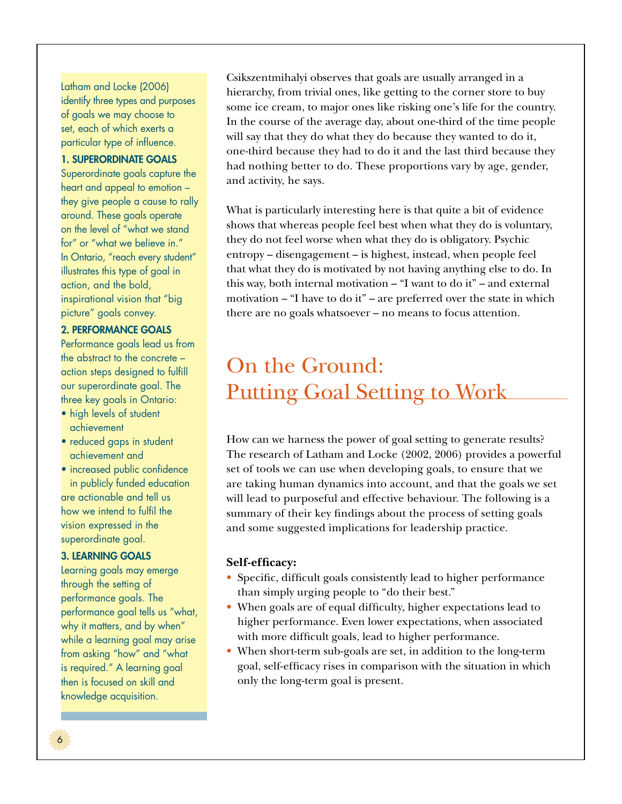Latham and Locke (2006) identify three types and purposes of goals we may choose to set, each of which exerts a particular type of influence.

#### 1. SUPERORDINATE GOALS

Superordinate goals capture the heart and appeal to emotion – they give people a cause to rally around. These goals operate on the level of "what we stand for" or "what we believe in." In Ontario, "reach every student" illustrates this type of goal in action, and the bold, inspirational vision that "big picture" goals convey.

#### 2. PERFORMANCE GOALS

Performance goals lead us from the abstract to the concrete – action steps designed to fulfill our superordinate goal. The three key goals in Ontario:

- high levels of student achievement
- reduced gaps in student achievement and
- increased public confidence in publicly funded education are actionable and tell us

how we intend to fulfil the vision expressed in the superordinate goal.

### 3. LEARNING GOALS

Learning goals may emerge through the setting of performance goals. The performance goal tells us "what, why it matters, and by when" while a learning goal may arise from asking "how" and "what is required." A learning goal then is focused on skill and knowledge acquisition.

Csikszentmihalyi observes that goals are usually arranged in a hierarchy, from trivial ones, like getting to the corner store to buy some ice cream, to major ones like risking one's life for the country. In the course of the average day, about one-third of the time people will say that they do what they do because they wanted to do it, one-third because they had to do it and the last third because they had nothing better to do. These proportions vary by age, gender, and activity, he says.

What is particularly interesting here is that quite a bit of evidence shows that whereas people feel best when what they do is voluntary, they do not feel worse when what they do is obligatory. Psychic entropy – disengagement – is highest, instead, when people feel that what they do is motivated by not having anything else to do. In this way, both internal motivation – "I want to do it" – and external motivation – "I have to do it" – are preferred over the state in which there are no goals whatsoever – no means to focus attention.

## On the Ground: Putting Goal Setting to Work

How can we harness the power of goal setting to generate results? The research of Latham and Locke (2002, 2006) provides a powerful set of tools we can use when developing goals, to ensure that we are taking human dynamics into account, and that the goals we set will lead to purposeful and effective behaviour. The following is a summary of their key findings about the process of setting goals and some suggested implications for leadership practice.

#### **Self-efficacy:**

- Specific, difficult goals consistently lead to higher performance than simply urging people to "do their best."
- When goals are of equal difficulty, higher expectations lead to higher performance. Even lower expectations, when associated with more difficult goals, lead to higher performance.
- When short-term sub-goals are set, in addition to the long-term goal, self-efficacy rises in comparison with the situation in which only the long-term goal is present.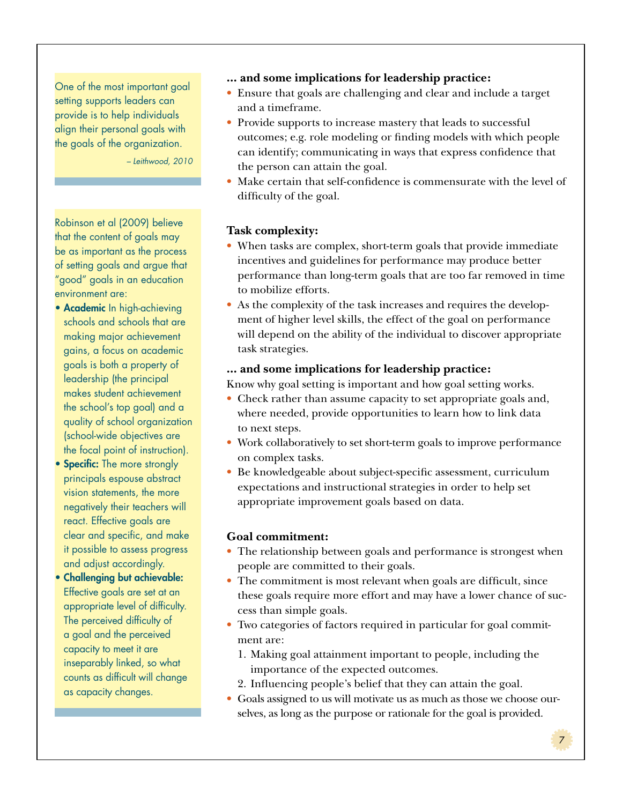One of the most important goal setting supports leaders can provide is to help individuals align their personal goals with the goals of the organization.

*– Leithwood, 2010*

Robinson et al (2009) believe that the content of goals may be as important as the process of setting goals and argue that "good" goals in an education environment are:

- Academic In high-achieving schools and schools that are making major achievement gains, a focus on academic goals is both a property of leadership (the principal makes student achievement the school's top goal) and a quality of school organization (school-wide objectives are the focal point of instruction).
- Specific: The more strongly principals espouse abstract vision statements, the more negatively their teachers will react. Effective goals are clear and specific, and make it possible to assess progress and adjust accordingly.
- Challenging but achievable: Effective goals are set at an appropriate level of difficulty. The perceived difficulty of a goal and the perceived capacity to meet it are inseparably linked, so what counts as difficult will change as capacity changes.
- **... and some implications for leadership practice:**
- Ensure that goals are challenging and clear and include a target and a timeframe.
- Provide supports to increase mastery that leads to successful outcomes; e.g. role modeling or finding models with which people can identify; communicating in ways that express confidence that the person can attain the goal.
- Make certain that self-confidence is commensurate with the level of difficulty of the goal.

## **Task complexity:**

- When tasks are complex, short-term goals that provide immediate incentives and guidelines for performance may produce better performance than long-term goals that are too far removed in time to mobilize efforts.
- As the complexity of the task increases and requires the development of higher level skills, the effect of the goal on performance will depend on the ability of the individual to discover appropriate task strategies.

#### **... and some implications for leadership practice:**

Know why goal setting is important and how goal setting works.

- Check rather than assume capacity to set appropriate goals and, where needed, provide opportunities to learn how to link data to next steps.
- Work collaboratively to set short-term goals to improve performance on complex tasks.
- Be knowledgeable about subject-specific assessment, curriculum expectations and instructional strategies in order to help set appropriate improvement goals based on data.

### **Goal commitment:**

- The relationship between goals and performance is strongest when people are committed to their goals.
- The commitment is most relevant when goals are difficult, since these goals require more effort and may have a lower chance of success than simple goals.
- Two categories of factors required in particular for goal commitment are:
	- 1. Making goal attainment important to people, including the importance of the expected outcomes.
- 2. Influencing people's belief that they can attain the goal.
- Goals assigned to us will motivate us as much as those we choose ourselves, as long as the purpose or rationale for the goal is provided.

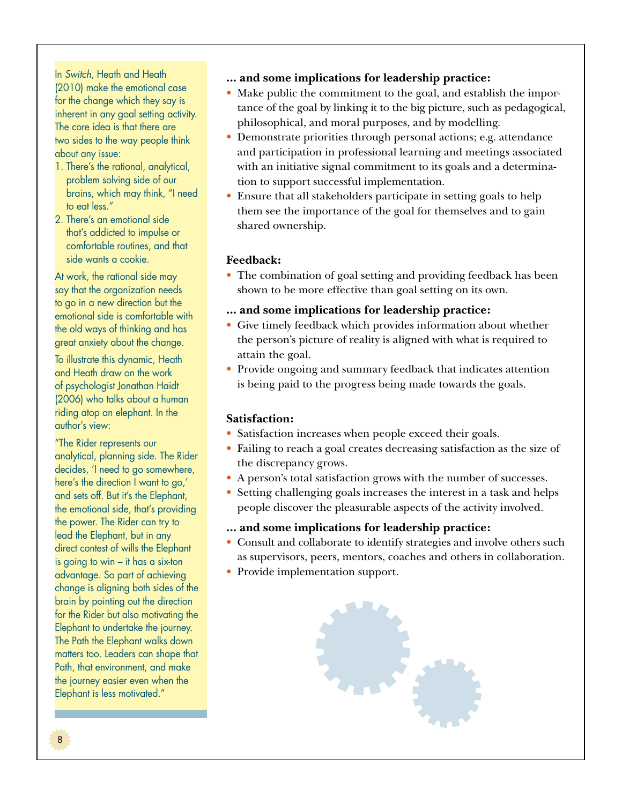In *Switch*, Heath and Heath (2010) make the emotional case for the change which they say is inherent in any goal setting activity. The core idea is that there are two sides to the way people think about any issue:

- 1. There's the rational, analytical, problem solving side of our brains, which may think, "I need to eat less."
- 2. There's an emotional side that's addicted to impulse or comfortable routines, and that side wants a cookie.

At work, the rational side may say that the organization needs to go in a new direction but the emotional side is comfortable with the old ways of thinking and has great anxiety about the change.

To illustrate this dynamic, Heath and Heath draw on the work of psychologist Jonathan Haidt (2006) who talks about a human riding atop an elephant. In the author's view:

"The Rider represents our analytical, planning side. The Rider decides, 'I need to go somewhere, here's the direction I want to go,' and sets off. But it's the Elephant, the emotional side, that's providing the power. The Rider can try to lead the Elephant, but in any direct contest of wills the Elephant is going to win – it has a six-ton advantage. So part of achieving change is aligning both sides of the brain by pointing out the direction for the Rider but also motivating the Elephant to undertake the journey. The Path the Elephant walks down matters too. Leaders can shape that Path, that environment, and make the journey easier even when the Elephant is less motivated."

- **... and some implications for leadership practice:**
- Make public the commitment to the goal, and establish the importance of the goal by linking it to the big picture, such as pedagogical, philosophical, and moral purposes, and by modelling.
- • Demonstrate priorities through personal actions; e.g. attendance and participation in professional learning and meetings associated with an initiative signal commitment to its goals and a determination to support successful implementation.
- Ensure that all stakeholders participate in setting goals to help them see the importance of the goal for themselves and to gain shared ownership.

## **Feedback:**

- The combination of goal setting and providing feedback has been shown to be more effective than goal setting on its own.
- **... and some implications for leadership practice:**
- $\bullet~$  Give timely feedback which provides information about whether the person's picture of reality is aligned with what is required to attain the goal.
- Provide ongoing and summary feedback that indicates attention is being paid to the progress being made towards the goals.

### **Satisfaction:**

- Satisfaction increases when people exceed their goals.
- Failing to reach a goal creates decreasing satisfaction as the size of the discrepancy grows.
- A person's total satisfaction grows with the number of successes.
- Setting challenging goals increases the interest in a task and helps people discover the pleasurable aspects of the activity involved.

### **... and some implications for leadership practice:**

- Consult and collaborate to identify strategies and involve others such as supervisors, peers, mentors, coaches and others in collaboration.
- Provide implementation support.

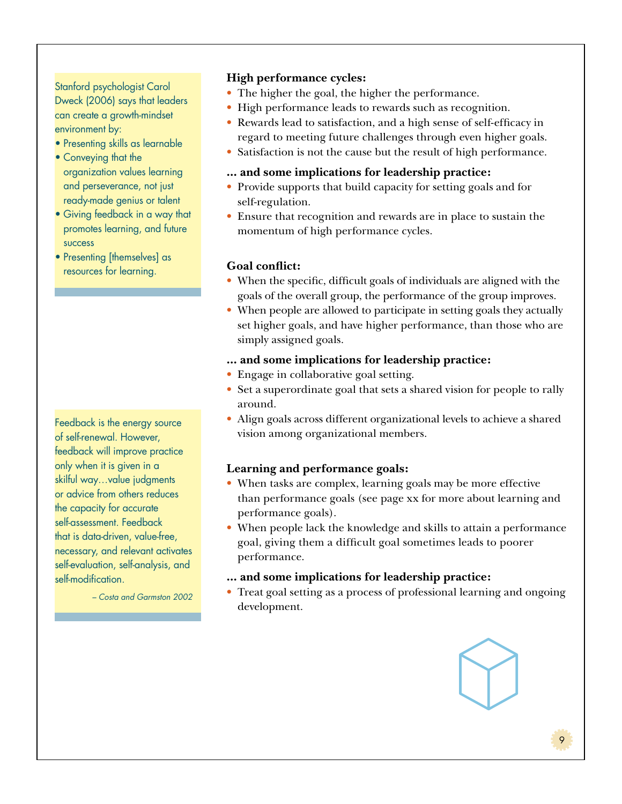Stanford psychologist Carol Dweck (2006) says that leaders can create a growth-mindset environment by:

- Presenting skills as learnable
- Conveying that the organization values learning and perseverance, not just ready-made genius or talent
- Giving feedback in a way that promotes learning, and future success
- Presenting [themselves] as resources for learning.

Feedback is the energy source of self-renewal. However, feedback will improve practice only when it is given in a skilful way…value judgments or advice from others reduces the capacity for accurate self-assessment. Feedback that is data-driven, value-free, necessary, and relevant activates self-evaluation, self-analysis, and self-modification.

*– Costa and Garmston 2002*

#### **High performance cycles:**

- The higher the goal, the higher the performance.
- High performance leads to rewards such as recognition.
- • Rewards lead to satisfaction, and a high sense of self-efficacy in regard to meeting future challenges through even higher goals.
- Satisfaction is not the cause but the result of high performance.

#### **... and some implications for leadership practice:**

- Provide supports that build capacity for setting goals and for self-regulation.
- • Ensure that recognition and rewards are in place to sustain the momentum of high performance cycles.

#### **Goal conflict:**

- When the specific, difficult goals of individuals are aligned with the goals of the overall group, the performance of the group improves.
- When people are allowed to participate in setting goals they actually set higher goals, and have higher performance, than those who are simply assigned goals.
- **... and some implications for leadership practice:**
- Engage in collaborative goal setting.
- Set a superordinate goal that sets a shared vision for people to rally around.
- Align goals across different organizational levels to achieve a shared vision among organizational members.

#### **Learning and performance goals:**

- When tasks are complex, learning goals may be more effective than performance goals (see page xx for more about learning and performance goals).
- • When people lack the knowledge and skills to attain a performance goal, giving them a difficult goal sometimes leads to poorer performance.

#### **... and some implications for leadership practice:**

• Treat goal setting as a process of professional learning and ongoing development.

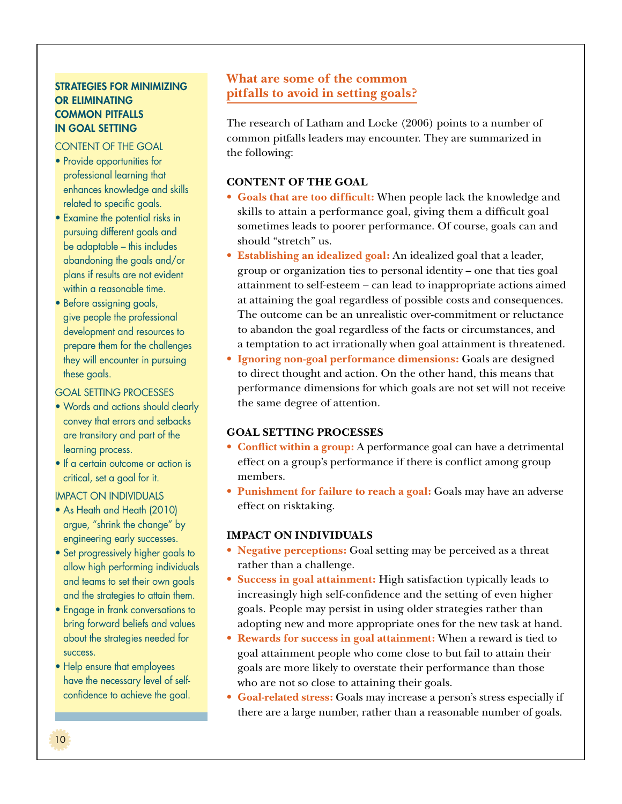## STRATEGIES FOR MINIMIZING OR ELIMINATING COMMON PITFALLS IN GOAL SETTING

#### CONTENT OF THE GOAL

- Provide opportunities for professional learning that enhances knowledge and skills related to specific goals.
- Examine the potential risks in pursuing different goals and be adaptable – this includes abandoning the goals and/or plans if results are not evident within a reasonable time.
- Before assigning goals, give people the professional development and resources to prepare them for the challenges they will encounter in pursuing these goals.

#### GOAL SETTING PROCESSES

- Words and actions should clearly convey that errors and setbacks are transitory and part of the learning process.
- If a certain outcome or action is critical, set a goal for it.

#### IMPACT ON INDIVIDUALS

- As Heath and Heath (2010) argue, "shrink the change" by engineering early successes.
- Set progressively higher goals to allow high performing individuals and teams to set their own goals and the strategies to attain them.
- Engage in frank conversations to bring forward beliefs and values about the strategies needed for success.
- Help ensure that employees have the necessary level of selfconfidence to achieve the goal.

## **What are some of the common pitfalls to avoid in setting goals?**

The research of Latham and Locke (2006) points to a number of common pitfalls leaders may encounter. They are summarized in the following:

### **CONTENT OF THE GOAL**

- • **Goals that are too difficult:** When people lack the knowledge and skills to attain a performance goal, giving them a difficult goal sometimes leads to poorer performance. Of course, goals can and should "stretch" us.
- • **Establishing an idealized goal:** An idealized goal that a leader, group or organization ties to personal identity – one that ties goal attainment to self-esteem – can lead to inappropriate actions aimed at attaining the goal regardless of possible costs and consequences. The outcome can be an unrealistic over-commitment or reluctance to abandon the goal regardless of the facts or circumstances, and a temptation to act irrationally when goal attainment is threatened.
- • **Ignoring non-goal performance dimensions:** Goals are designed to direct thought and action. On the other hand, this means that performance dimensions for which goals are not set will not receive the same degree of attention.

### **GOAL SETTING PROCESSES**

- **Conflict within a group:** A performance goal can have a detrimental effect on a group's performance if there is conflict among group members.
- **Punishment for failure to reach a goal:** Goals may have an adverse effect on risktaking.

### **IMPACT ON INDIVIDUALS**

- **Negative perceptions:** Goal setting may be perceived as a threat rather than a challenge.
- Success in goal attainment: High satisfaction typically leads to increasingly high self-confidence and the setting of even higher goals. People may persist in using older strategies rather than adopting new and more appropriate ones for the new task at hand.
- Rewards for success in goal attainment: When a reward is tied to goal attainment people who come close to but fail to attain their goals are more likely to overstate their performance than those who are not so close to attaining their goals.
- • **Goal-related stress:** Goals may increase a person's stress especially if there are a large number, rather than a reasonable number of goals.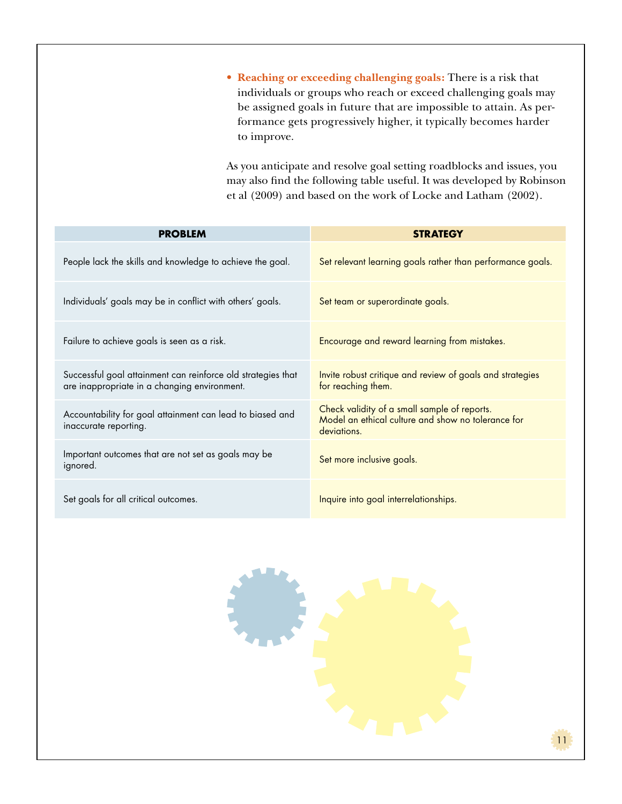• **Reaching or exceeding challenging goals:** There is a risk that individuals or groups who reach or exceed challenging goals may be assigned goals in future that are impossible to attain. As performance gets progressively higher, it typically becomes harder to improve.

As you anticipate and resolve goal setting roadblocks and issues, you may also find the following table useful. It was developed by Robinson et al (2009) and based on the work of Locke and Latham (2002).

| <b>PROBLEM</b>                                                                                               | <b>STRATEGY</b>                                                                                                   |  |
|--------------------------------------------------------------------------------------------------------------|-------------------------------------------------------------------------------------------------------------------|--|
| People lack the skills and knowledge to achieve the goal.                                                    | Set relevant learning goals rather than performance goals.                                                        |  |
| Individuals' goals may be in conflict with others' goals.                                                    | Set team or superordinate goals.                                                                                  |  |
| Failure to achieve goals is seen as a risk.                                                                  | Encourage and reward learning from mistakes.                                                                      |  |
| Successful goal attainment can reinforce old strategies that<br>are inappropriate in a changing environment. | Invite robust critique and review of goals and strategies<br>for reaching them.                                   |  |
| Accountability for goal attainment can lead to biased and<br>inaccurate reporting.                           | Check validity of a small sample of reports.<br>Model an ethical culture and show no tolerance for<br>deviations. |  |
| Important outcomes that are not set as goals may be<br>ignored.                                              | Set more inclusive goals.                                                                                         |  |
| Set goals for all critical outcomes.                                                                         | Inquire into goal interrelationships.                                                                             |  |

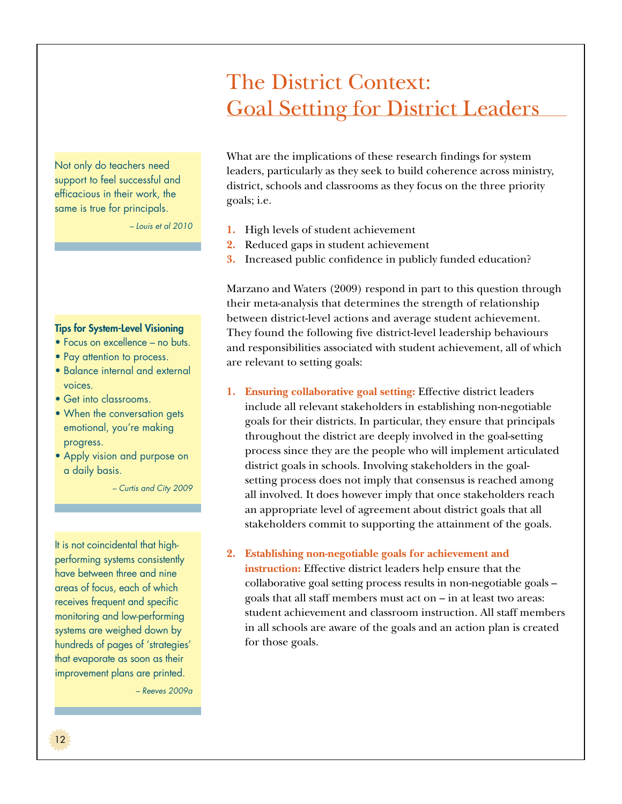## The District Context: Goal Setting for District Leaders

Not only do teachers need support to feel successful and efficacious in their work, the same is true for principals.

*– Louis et al 2010*

#### Tips for System-Level Visioning

- Focus on excellence no buts.
- Pay attention to process.
- Balance internal and external voices.
- Get into classrooms.
- When the conversation gets emotional, you're making progress.
- Apply vision and purpose on a daily basis.

*– Curtis and City 2009*

It is not coincidental that highperforming systems consistently have between three and nine areas of focus, each of which receives frequent and specific monitoring and low-performing systems are weighed down by hundreds of pages of 'strategies' that evaporate as soon as their improvement plans are printed.

*– Reeves 2009a*

What are the implications of these research findings for system leaders, particularly as they seek to build coherence across ministry, district, schools and classrooms as they focus on the three priority goals; i.e.

- **1.** High levels of student achievement
- **2.** Reduced gaps in student achievement
- **3.** Increased public confidence in publicly funded education?

Marzano and Waters (2009) respond in part to this question through their meta-analysis that determines the strength of relationship between district-level actions and average student achievement. They found the following five district-level leadership behaviours and responsibilities associated with student achievement, all of which are relevant to setting goals:

- **1. Ensuring collaborative goal setting:** Effective district leaders include all relevant stakeholders in establishing non-negotiable goals for their districts. In particular, they ensure that principals throughout the district are deeply involved in the goal-setting process since they are the people who will implement articulated district goals in schools. Involving stakeholders in the goalsetting process does not imply that consensus is reached among all involved. It does however imply that once stakeholders reach an appropriate level of agreement about district goals that all stakeholders commit to supporting the attainment of the goals.
- **2. Establishing non-negotiable goals for achievement and**

**instruction:** Effective district leaders help ensure that the collaborative goal setting process results in non-negotiable goals – goals that all staff members must act on – in at least two areas: student achievement and classroom instruction. All staff members in all schools are aware of the goals and an action plan is created for those goals.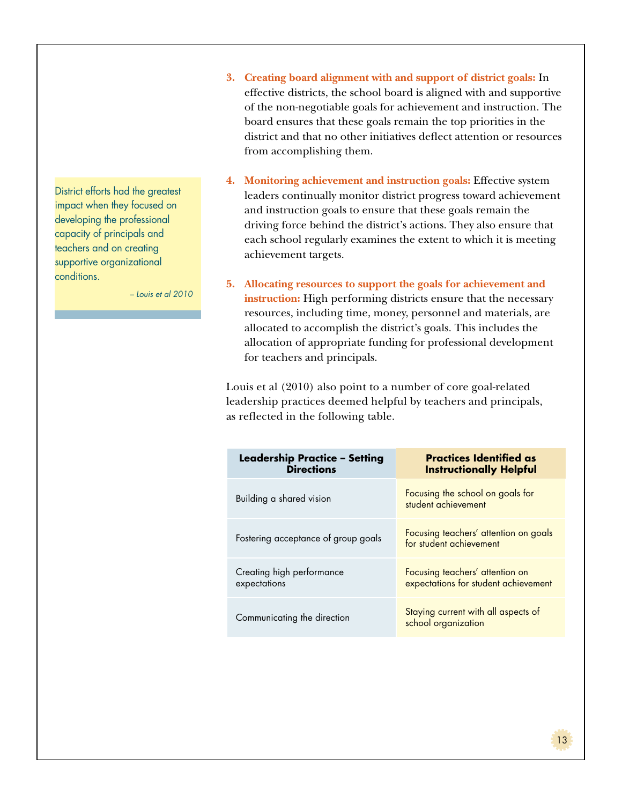District efforts had the greatest impact when they focused on developing the professional capacity of principals and teachers and on creating supportive organizational conditions.

*– Louis et al 2010*

- **3. Creating board alignment with and support of district goals:** In effective districts, the school board is aligned with and supportive of the non-negotiable goals for achievement and instruction. The board ensures that these goals remain the top priorities in the district and that no other initiatives deflect attention or resources from accomplishing them.
- **4. Monitoring achievement and instruction goals:** Effective system leaders continually monitor district progress toward achievement and instruction goals to ensure that these goals remain the driving force behind the district's actions. They also ensure that each school regularly examines the extent to which it is meeting achievement targets.
- **5. Allocating resources to support the goals for achievement and instruction:** High performing districts ensure that the necessary resources, including time, money, personnel and materials, are allocated to accomplish the district's goals. This includes the allocation of appropriate funding for professional development for teachers and principals.

Louis et al (2010) also point to a number of core goal-related leadership practices deemed helpful by teachers and principals, as reflected in the following table.

| <b>Leadership Practice - Setting</b><br><b>Directions</b> | <b>Practices Identified as</b><br><b>Instructionally Helpful</b>        |  |
|-----------------------------------------------------------|-------------------------------------------------------------------------|--|
| Building a shared vision                                  | Focusing the school on goals for<br>student achievement                 |  |
| Fostering acceptance of group goals                       | Focusing teachers' attention on goals<br>for student achievement        |  |
| Creating high performance<br>expectations                 | Focusing teachers' attention on<br>expectations for student achievement |  |
| Communicating the direction                               | Staying current with all aspects of<br>school organization              |  |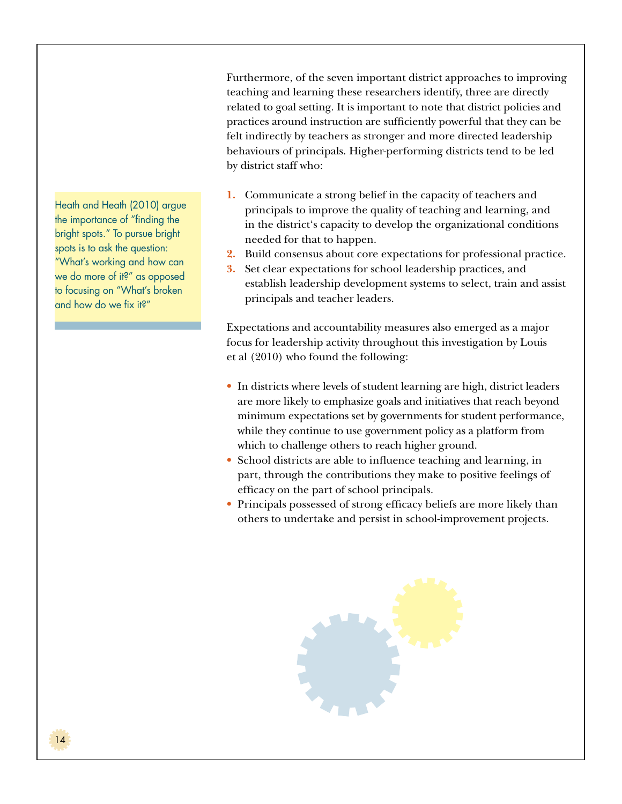Furthermore, of the seven important district approaches to improving teaching and learning these researchers identify, three are directly related to goal setting. It is important to note that district policies and practices around instruction are sufficiently powerful that they can be felt indirectly by teachers as stronger and more directed leadership behaviours of principals. Higher-performing districts tend to be led by district staff who:

- **1.** Communicate a strong belief in the capacity of teachers and principals to improve the quality of teaching and learning, and in the district's capacity to develop the organizational conditions needed for that to happen.
- **2.** Build consensus about core expectations for professional practice.
- **3.** Set clear expectations for school leadership practices, and establish leadership development systems to select, train and assist principals and teacher leaders.

Expectations and accountability measures also emerged as a major focus for leadership activity throughout this investigation by Louis et al (2010) who found the following:

- In districts where levels of student learning are high, district leaders are more likely to emphasize goals and initiatives that reach beyond minimum expectations set by governments for student performance, while they continue to use government policy as a platform from which to challenge others to reach higher ground.
- School districts are able to influence teaching and learning, in part, through the contributions they make to positive feelings of efficacy on the part of school principals.
- Principals possessed of strong efficacy beliefs are more likely than others to undertake and persist in school-improvement projects.



Heath and Heath (2010) argue the importance of "finding the bright spots." To pursue bright spots is to ask the question: "What's working and how can we do more of it?" as opposed to focusing on "What's broken and how do we fix it?"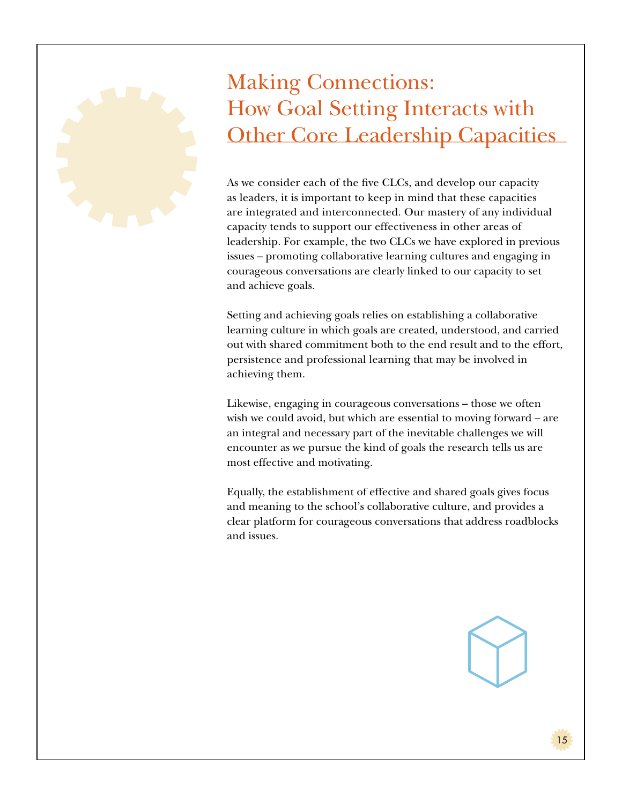## Making Connections: How Goal Setting Interacts with Other Core Leadership Capacities

As we consider each of the five CLCs, and develop our capacity as leaders, it is important to keep in mind that these capacities are integrated and interconnected. Our mastery of any individual capacity tends to support our effectiveness in other areas of leadership. For example, the two CLCs we have explored in previous issues – promoting collaborative learning cultures and engaging in courageous conversations are clearly linked to our capacity to set and achieve goals.

Setting and achieving goals relies on establishing a collaborative learning culture in which goals are created, understood, and carried out with shared commitment both to the end result and to the effort, persistence and professional learning that may be involved in achieving them.

Likewise, engaging in courageous conversations – those we often wish we could avoid, but which are essential to moving forward – are an integral and necessary part of the inevitable challenges we will encounter as we pursue the kind of goals the research tells us are most effective and motivating.

Equally, the establishment of effective and shared goals gives focus and meaning to the school's collaborative culture, and provides a clear platform for courageous conversations that address roadblocks and issues.

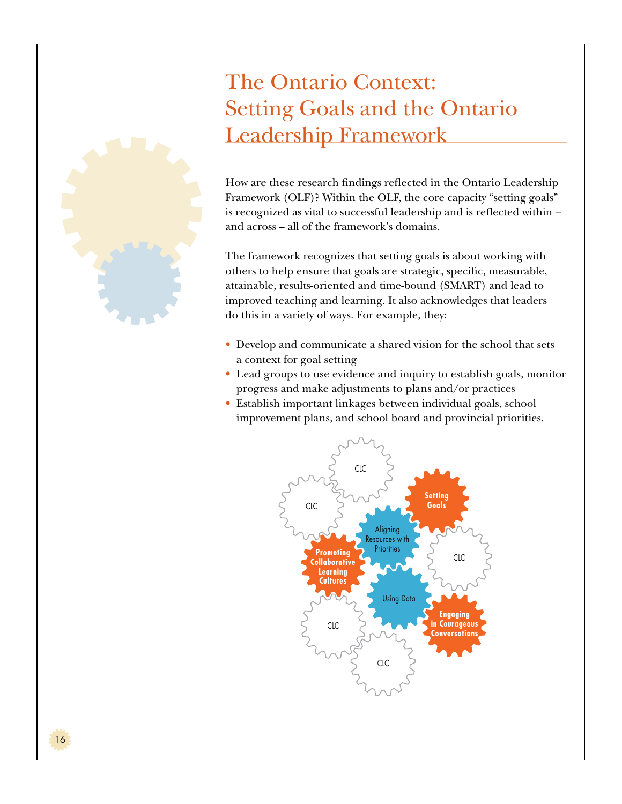## The Ontario Context: Setting Goals and the Ontario Leadership Framework



The framework recognizes that setting goals is about working with others to help ensure that goals are strategic, specific, measurable, attainable, results-oriented and time-bound (SMART) and lead to improved teaching and learning. It also acknowledges that leaders do this in a variety of ways. For example, they:

- Develop and communicate a shared vision for the school that sets a context for goal setting
- Lead groups to use evidence and inquiry to establish goals, monitor progress and make adjustments to plans and/or practices
- Establish important linkages between individual goals, school improvement plans, and school board and provincial priorities.



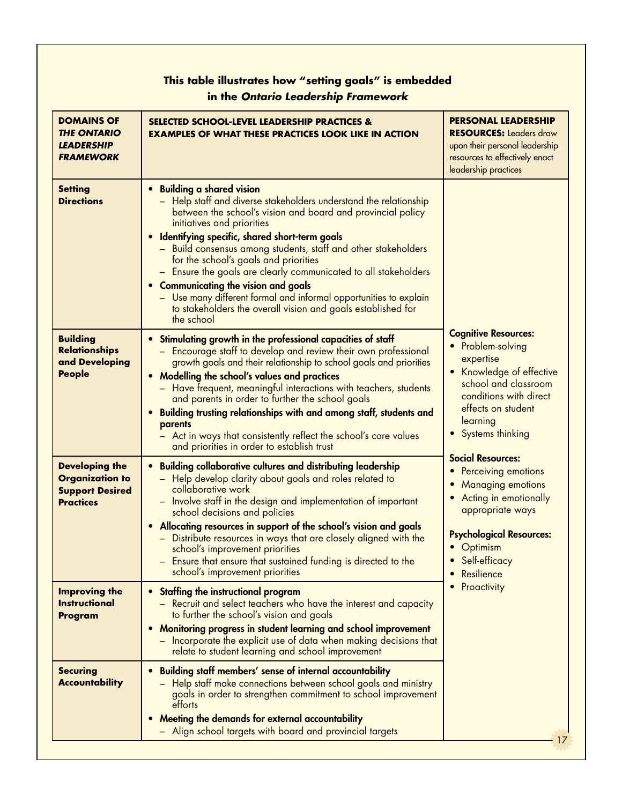| This table illustrates how "setting goals" is embedded<br>in the Ontario Leadership Framework |                                                                                                                                                                                                                                                                                                                                                                                                                                                                                                                                                                                                                                               |                                                                                                                                                                                                               |
|-----------------------------------------------------------------------------------------------|-----------------------------------------------------------------------------------------------------------------------------------------------------------------------------------------------------------------------------------------------------------------------------------------------------------------------------------------------------------------------------------------------------------------------------------------------------------------------------------------------------------------------------------------------------------------------------------------------------------------------------------------------|---------------------------------------------------------------------------------------------------------------------------------------------------------------------------------------------------------------|
| <b>DOMAINS OF</b><br><b>THE ONTARIO</b><br><b>LEADERSHIP</b><br><b>FRAMEWORK</b>              | <b>SELECTED SCHOOL-LEVEL LEADERSHIP PRACTICES &amp;</b><br><b>EXAMPLES OF WHAT THESE PRACTICES LOOK LIKE IN ACTION</b>                                                                                                                                                                                                                                                                                                                                                                                                                                                                                                                        | <b>PERSONAL LEADERSHIP</b><br><b>RESOURCES: Leaders draw</b><br>upon their personal leadership<br>resources to effectively enact<br>leadership practices                                                      |
| <b>Setting</b><br><b>Directions</b>                                                           | <b>Building a shared vision</b><br>$\bullet$<br>- Help staff and diverse stakeholders understand the relationship<br>between the school's vision and board and provincial policy<br>initiatives and priorities<br>Identifying specific, shared short-term goals<br>- Build consensus among students, staff and other stakeholders<br>for the school's goals and priorities<br>- Ensure the goals are clearly communicated to all stakeholders<br><b>Communicating the vision and goals</b><br>- Use many different formal and informal opportunities to explain<br>to stakeholders the overall vision and goals established for<br>the school |                                                                                                                                                                                                               |
| <b>Building</b><br><b>Relationships</b><br>and Developing<br><b>People</b>                    | Stimulating growth in the professional capacities of staff<br>- Encourage staff to develop and review their own professional<br>growth goals and their relationship to school goals and priorities<br>Modelling the school's values and practices<br>- Have frequent, meaningful interactions with teachers, students<br>and parents in order to further the school goals<br>Building trusting relationships with and among staff, students and<br>$\bullet$<br>parents<br>- Act in ways that consistently reflect the school's core values<br>and priorities in order to establish trust                                                     | <b>Cognitive Resources:</b><br>• Problem-solving<br>expertise<br>Knowledge of effective<br>school and classroom<br>conditions with direct<br>effects on student<br>learning<br>Systems thinking               |
| <b>Developing the</b><br><b>Organization to</b><br><b>Support Desired</b><br><b>Practices</b> | <b>Building collaborative cultures and distributing leadership</b><br>$\bullet$<br>- Help develop clarity about goals and roles related to<br>collaborative work<br>- Involve staff in the design and implementation of important<br>school decisions and policies<br>Allocating resources in support of the school's vision and goals<br>- Distribute resources in ways that are closely aligned with the<br>school's improvement priorities<br>- Ensure that ensure that sustained funding is directed to the<br>school's improvement priorities                                                                                            | <b>Social Resources:</b><br><b>Perceiving emotions</b><br><b>Managing emotions</b><br>Acting in emotionally<br>appropriate ways<br><b>Psychological Resources:</b><br>Optimism<br>Self-efficacy<br>Resilience |
| <b>Improving the</b><br><b>Instructional</b><br>Program                                       | Staffing the instructional program<br>$\bullet$<br>- Recruit and select teachers who have the interest and capacity<br>to further the school's vision and goals<br>Monitoring progress in student learning and school improvement<br>$\bullet$<br>- Incorporate the explicit use of data when making decisions that<br>relate to student learning and school improvement                                                                                                                                                                                                                                                                      | Proactivity                                                                                                                                                                                                   |
| <b>Securing</b><br><b>Accountability</b>                                                      | Building staff members' sense of internal accountability<br>$\bullet$<br>- Help staff make connections between school goals and ministry<br>goals in order to strengthen commitment to school improvement<br>efforts<br>Meeting the demands for external accountability<br>- Align school targets with board and provincial targets                                                                                                                                                                                                                                                                                                           |                                                                                                                                                                                                               |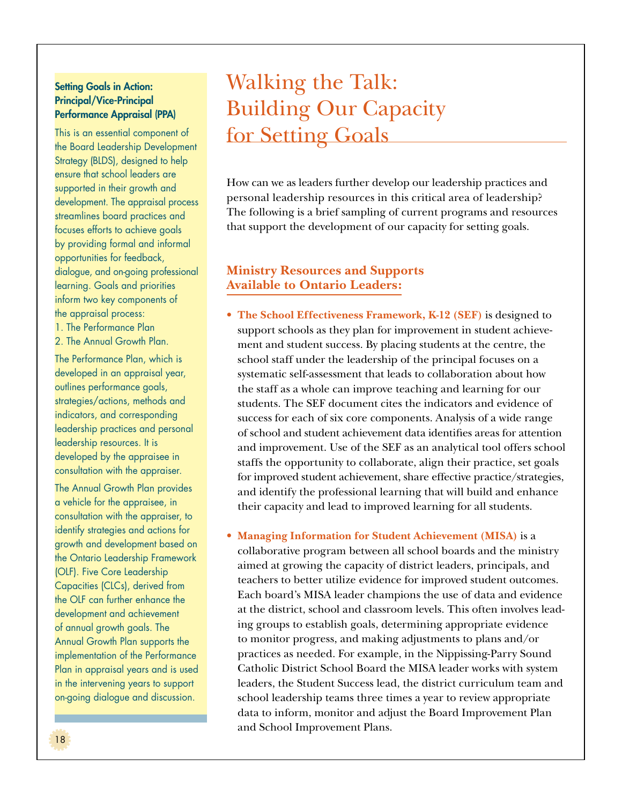#### **Setting Goals in Action:** Principal/Vice-Principal Performance Appraisal (PPA)

This is an essential component of the Board Leadership Development Strategy (BLDS), designed to help ensure that school leaders are supported in their growth and development. The appraisal process streamlines board practices and focuses efforts to achieve goals by providing formal and informal opportunities for feedback, dialogue, and on-going professional learning. Goals and priorities inform two key components of the appraisal process:

- 1. The Performance Plan
- 2. The Annual Growth Plan.

The Performance Plan, which is developed in an appraisal year, outlines performance goals, strategies/actions, methods and indicators, and corresponding leadership practices and personal leadership resources. It is developed by the appraisee in consultation with the appraiser.

The Annual Growth Plan provides a vehicle for the appraisee, in consultation with the appraiser, to identify strategies and actions for growth and development based on the Ontario Leadership Framework (OLF). Five Core Leadership Capacities (CLCs), derived from the OLF can further enhance the development and achievement of annual growth goals. The Annual Growth Plan supports the implementation of the Performance Plan in appraisal years and is used in the intervening years to support on-going dialogue and discussion.

## Walking the Talk: Building Our Capacity for Setting Goals

How can we as leaders further develop our leadership practices and personal leadership resources in this critical area of leadership? The following is a brief sampling of current programs and resources that support the development of our capacity for setting goals.

## **Ministry Resources and Supports Available to Ontario Leaders:**

- The School Effectiveness Framework, K-12 (SEF) is designed to support schools as they plan for improvement in student achievement and student success. By placing students at the centre, the school staff under the leadership of the principal focuses on a systematic self-assessment that leads to collaboration about how the staff as a whole can improve teaching and learning for our students. The SEF document cites the indicators and evidence of success for each of six core components. Analysis of a wide range of school and student achievement data identifies areas for attention and improvement. Use of the SEF as an analytical tool offers school staffs the opportunity to collaborate, align their practice, set goals for improved student achievement, share effective practice/strategies, and identify the professional learning that will build and enhance their capacity and lead to improved learning for all students.
- • **Managing Information for Student Achievement (MISA)** is a

collaborative program between all school boards and the ministry aimed at growing the capacity of district leaders, principals, and teachers to better utilize evidence for improved student outcomes. Each board's MISA leader champions the use of data and evidence at the district, school and classroom levels. This often involves leading groups to establish goals, determining appropriate evidence to monitor progress, and making adjustments to plans and/or practices as needed. For example, in the Nippissing-Parry Sound Catholic District School Board the MISA leader works with system leaders, the Student Success lead, the district curriculum team and school leadership teams three times a year to review appropriate data to inform, monitor and adjust the Board Improvement Plan and School Improvement Plans.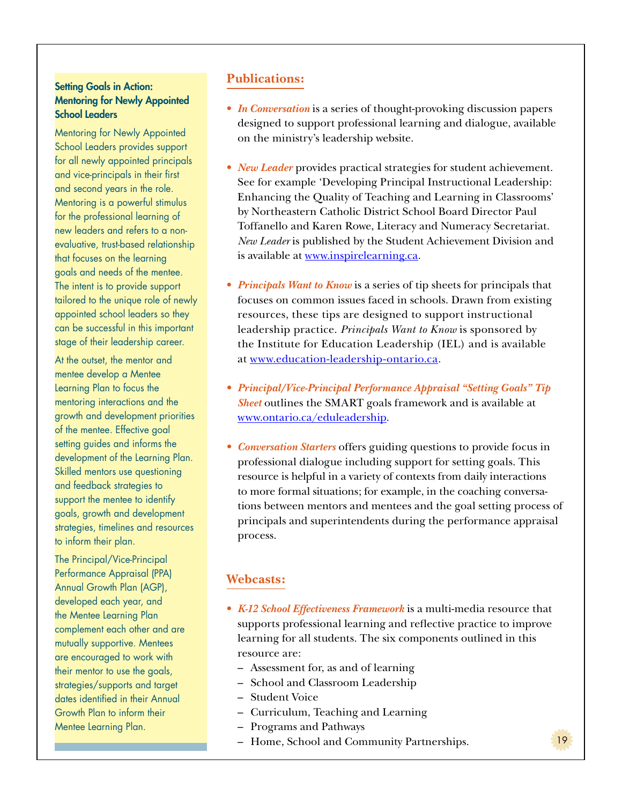#### **Setting Goals in Action:** Mentoring for Newly Appointed School Leaders

Mentoring for Newly Appointed School Leaders provides support for all newly appointed principals and vice-principals in their first and second years in the role. Mentoring is a powerful stimulus for the professional learning of new leaders and refers to a nonevaluative, trust-based relationship that focuses on the learning goals and needs of the mentee. The intent is to provide support tailored to the unique role of newly appointed school leaders so they can be successful in this important stage of their leadership career.

At the outset, the mentor and mentee develop a Mentee Learning Plan to focus the mentoring interactions and the growth and development priorities of the mentee. Effective goal setting guides and informs the development of the Learning Plan. Skilled mentors use questioning and feedback strategies to support the mentee to identify goals, growth and development strategies, timelines and resources to inform their plan.

The Principal/Vice-Principal Performance Appraisal (PPA) Annual Growth Plan (AGP), developed each year, and the Mentee Learning Plan complement each other and are mutually supportive. Mentees are encouraged to work with their mentor to use the goals, strategies/supports and target dates identified in their Annual Growth Plan to inform their Mentee Learning Plan.

## **Publications:**

- *In Conversation* is a series of thought-provoking discussion papers designed to support professional learning and dialogue, available on the ministry's leadership website.
- *New Leader* provides practical strategies for student achievement. See for example 'Developing Principal Instructional Leadership: Enhancing the Quality of Teaching and Learning in Classrooms' by Northeastern Catholic District School Board Director Paul Toffanello and Karen Rowe, Literacy and Numeracy Secretariat. *New Leader* is published by the Student Achievement Division and is available at www.inspirelearning.ca.
- *Principals Want to Know* is a series of tip sheets for principals that focuses on common issues faced in schools. Drawn from existing resources, these tips are designed to support instructional leadership practice. *Principals Want to Know* is sponsored by the Institute for Education Leadership (IEL) and is available at www.education-leadership-ontario.ca.
- • *Principal/Vice-Principal Performance Appraisal "Setting Goals" Tip Sheet* outlines the SMART goals framework and is available at www.ontario.ca/eduleadership.
- *Conversation Starters* offers guiding questions to provide focus in professional dialogue including support for setting goals. This resource is helpful in a variety of contexts from daily interactions to more formal situations; for example, in the coaching conversations between mentors and mentees and the goal setting process of principals and superintendents during the performance appraisal process.

## **Webcasts:**

• *K-12 School Effectiveness Framework* is a multi-media resource that supports professional learning and reflective practice to improve learning for all students. The six components outlined in this resource are:

- Assessment for, as and of learning
- School and Classroom Leadership
- Student Voice
- Curriculum, Teaching and Learning
- Programs and Pathways
- Home, School and Community Partnerships.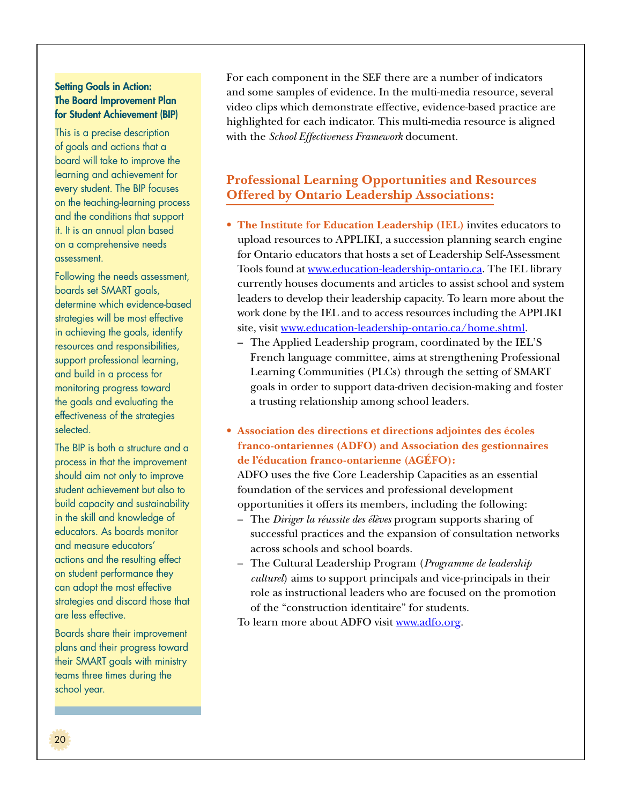#### **Setting Goals in Action:** The Board Improvement Plan for Student Achievement (BIP)

This is a precise description of goals and actions that a board will take to improve the learning and achievement for every student. The BIP focuses on the teaching-learning process and the conditions that support it. It is an annual plan based on a comprehensive needs assessment.

Following the needs assessment, boards set SMART goals, determine which evidence-based strategies will be most effective in achieving the goals, identify resources and responsibilities, support professional learning, and build in a process for monitoring progress toward the goals and evaluating the effectiveness of the strategies selected.

The BIP is both a structure and a process in that the improvement should aim not only to improve student achievement but also to build capacity and sustainability in the skill and knowledge of educators. As boards monitor and measure educators' actions and the resulting effect on student performance they can adopt the most effective strategies and discard those that are less effective.

Boards share their improvement plans and their progress toward their SMART goals with ministry teams three times during the school year.

For each component in the SEF there are a number of indicators and some samples of evidence. In the multi-media resource, several video clips which demonstrate effective, evidence-based practice are highlighted for each indicator. This multi-media resource is aligned with the *School Effectiveness Framework* document.

## **Professional Learning Opportunities and Resources Offered by Ontario Leadership Associations:**

- • **The Institute for Education Leadership (IEL)** invites educators to upload resources to APPLIKI, a succession planning search engine for Ontario educators that hosts a set of Leadership Self-Assessment Tools found at www.education-leadership-ontario.ca. The IEL library currently houses documents and articles to assist school and system leaders to develop their leadership capacity. To learn more about the work done by the IEL and to access resources including the APPLIKI site, visit www.education-leadership-ontario.ca/home.shtml.
	- The Applied Leadership program, coordinated by the IEL'S French language committee, aims at strengthening Professional Learning Communities (PLCs) through the setting of SMART goals in order to support data-driven decision-making and foster a trusting relationship among school leaders.
- • **Association des directions et directions adjointes des écoles franco-ontariennes (ADFO) and Association des gestionnaires de l'éducation franco-ontarienne (AGÉFO):**

ADFO uses the five Core Leadership Capacities as an essential foundation of the services and professional development opportunities it offers its members, including the following:

- The *Diriger la réussite des élèves* program supports sharing of successful practices and the expansion of consultation networks across schools and school boards.
- The Cultural Leadership Program (*Programme de leadership culturel*) aims to support principals and vice-principals in their role as instructional leaders who are focused on the promotion of the "construction identitaire" for students.

To learn more about ADFO visit www.adfo.org.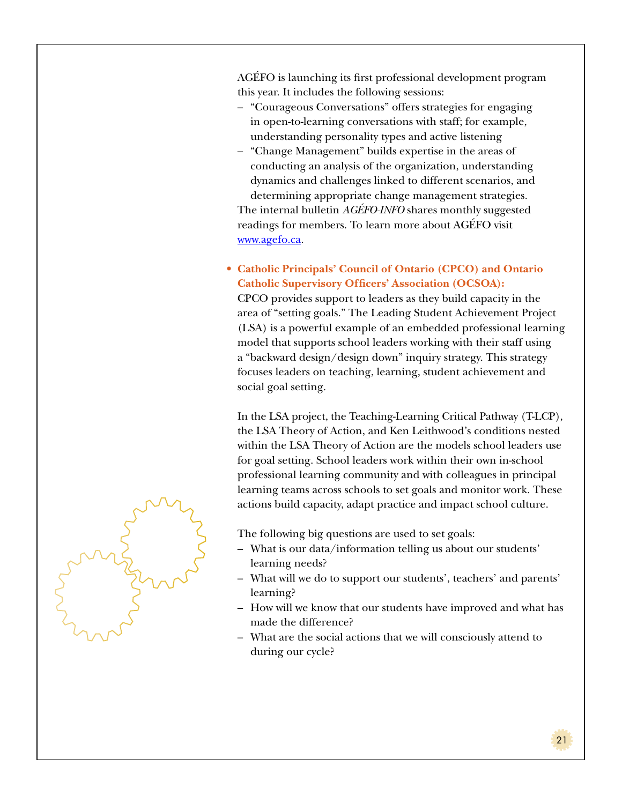AGÉFO is launching its first professional development program this year. It includes the following sessions:

- "Courageous Conversations" offers strategies for engaging in open-to-learning conversations with staff; for example, understanding personality types and active listening
- "Change Management" builds expertise in the areas of conducting an analysis of the organization, understanding dynamics and challenges linked to different scenarios, and determining appropriate change management strategies.

The internal bulletin *AGÉFO-INFO* shares monthly suggested readings for members. To learn more about AGÉFO visit www.agefo.ca.

• **Catholic Principals' Council of Ontario (CPCO) and Ontario Catholic Supervisory Officers' Association (OCSOA):** 

CPCO provides support to leaders as they build capacity in the area of "setting goals." The Leading Student Achievement Project (LSA) is a powerful example of an embedded professional learning model that supports school leaders working with their staff using a "backward design/design down" inquiry strategy. This strategy focuses leaders on teaching, learning, student achievement and social goal setting.

In the LSA project, the Teaching-Learning Critical Pathway (T-LCP), the LSA Theory of Action, and Ken Leithwood's conditions nested within the LSA Theory of Action are the models school leaders use for goal setting. School leaders work within their own in-school professional learning community and with colleagues in principal learning teams across schools to set goals and monitor work. These actions build capacity, adapt practice and impact school culture.

The following big questions are used to set goals:

- What is our data/information telling us about our students' learning needs?
- What will we do to support our students', teachers' and parents' learning?
- How will we know that our students have improved and what has made the difference?
- What are the social actions that we will consciously attend to during our cycle?

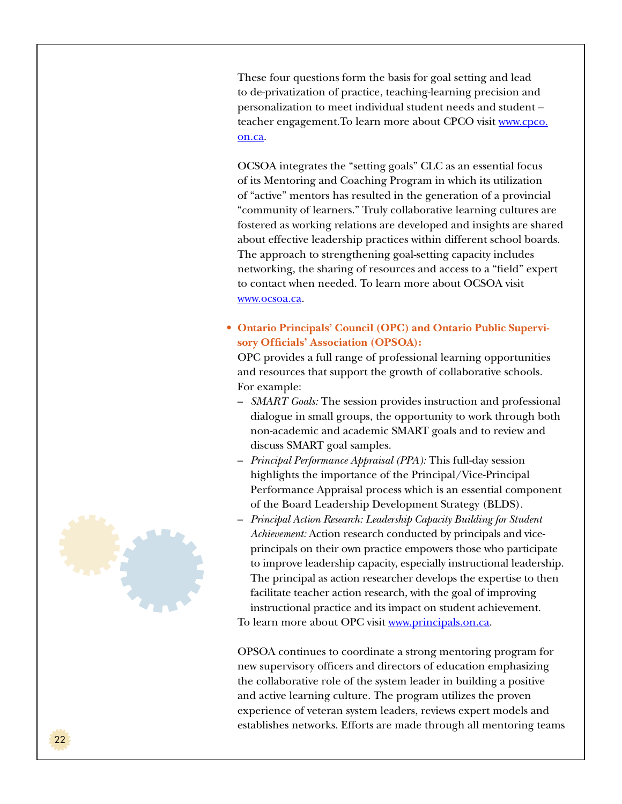These four questions form the basis for goal setting and lead to de-privatization of practice, teaching-learning precision and personalization to meet individual student needs and student – teacher engagement.To learn more about CPCO visit www.cpco. on.ca.

OCSOA integrates the "setting goals" CLC as an essential focus of its Mentoring and Coaching Program in which its utilization of "active" mentors has resulted in the generation of a provincial "community of learners." Truly collaborative learning cultures are fostered as working relations are developed and insights are shared about effective leadership practices within different school boards. The approach to strengthening goal-setting capacity includes networking, the sharing of resources and access to a "field" expert to contact when needed. To learn more about OCSOA visit www.ocsoa.ca.

• **Ontario Principals' Council (OPC) and Ontario Public Supervisory Officials' Association (OPSOA):** 

OPC provides a full range of professional learning opportunities and resources that support the growth of collaborative schools. For example:

- *SMART Goals:* The session provides instruction and professional dialogue in small groups, the opportunity to work through both non-academic and academic SMART goals and to review and discuss SMART goal samples.
- *Principal Performance Appraisal (PPA):* This full-day session highlights the importance of the Principal/Vice-Principal Performance Appraisal process which is an essential component of the Board Leadership Development Strategy (BLDS).
- *Principal Action Research: Leadership Capacity Building for Student Achievement:* Action research conducted by principals and viceprincipals on their own practice empowers those who participate to improve leadership capacity, especially instructional leadership. The principal as action researcher develops the expertise to then facilitate teacher action research, with the goal of improving instructional practice and its impact on student achievement. To learn more about OPC visit www.principals.on.ca.

OPSOA continues to coordinate a strong mentoring program for new supervisory officers and directors of education emphasizing the collaborative role of the system leader in building a positive and active learning culture. The program utilizes the proven experience of veteran system leaders, reviews expert models and establishes networks. Efforts are made through all mentoring teams

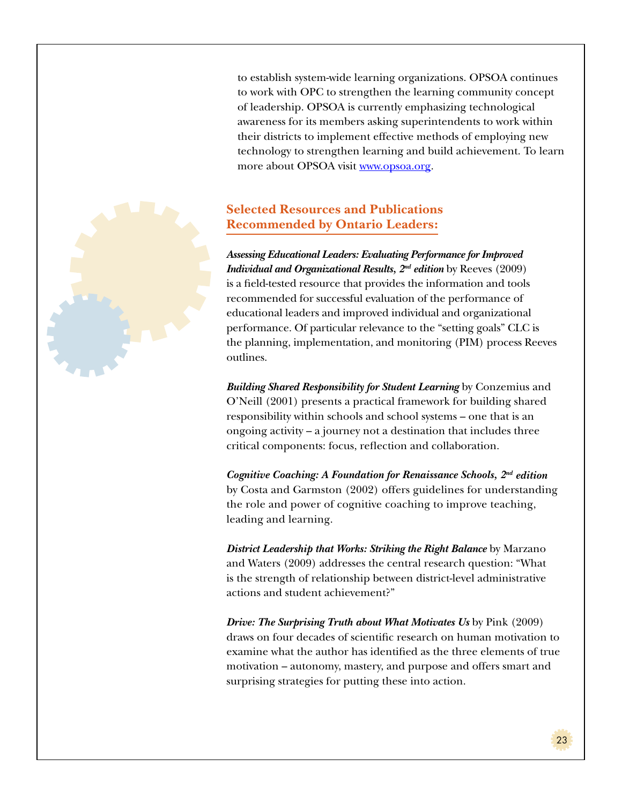to establish system-wide learning organizations. OPSOA continues to work with OPC to strengthen the learning community concept of leadership. OPSOA is currently emphasizing technological awareness for its members asking superintendents to work within their districts to implement effective methods of employing new technology to strengthen learning and build achievement. To learn more about OPSOA visit www.opsoa.org.

## **Selected Resources and Publications Recommended by Ontario Leaders:**

*Assessing Educational Leaders: Evaluating Performance for Improved Individual and Organizational Results, 2<sup>nd</sup> edition* by Reeves (2009) is a field-tested resource that provides the information and tools recommended for successful evaluation of the performance of educational leaders and improved individual and organizational performance. Of particular relevance to the "setting goals" CLC is the planning, implementation, and monitoring (PIM) process Reeves outlines.

*Building Shared Responsibility for Student Learning* by Conzemius and O'Neill (2001) presents a practical framework for building shared responsibility within schools and school systems – one that is an ongoing activity – a journey not a destination that includes three critical components: focus, reflection and collaboration.

*Cognitive Coaching: A Foundation for Renaissance Schools, 2nd edition* by Costa and Garmston (2002) offers guidelines for understanding the role and power of cognitive coaching to improve teaching, leading and learning.

*District Leadership that Works: Striking the Right Balance* by Marzano and Waters (2009) addresses the central research question: "What is the strength of relationship between district-level administrative actions and student achievement?"

*Drive: The Surprising Truth about What Motivates Us* by Pink (2009) draws on four decades of scientific research on human motivation to examine what the author has identified as the three elements of true motivation – autonomy, mastery, and purpose and offers smart and surprising strategies for putting these into action.

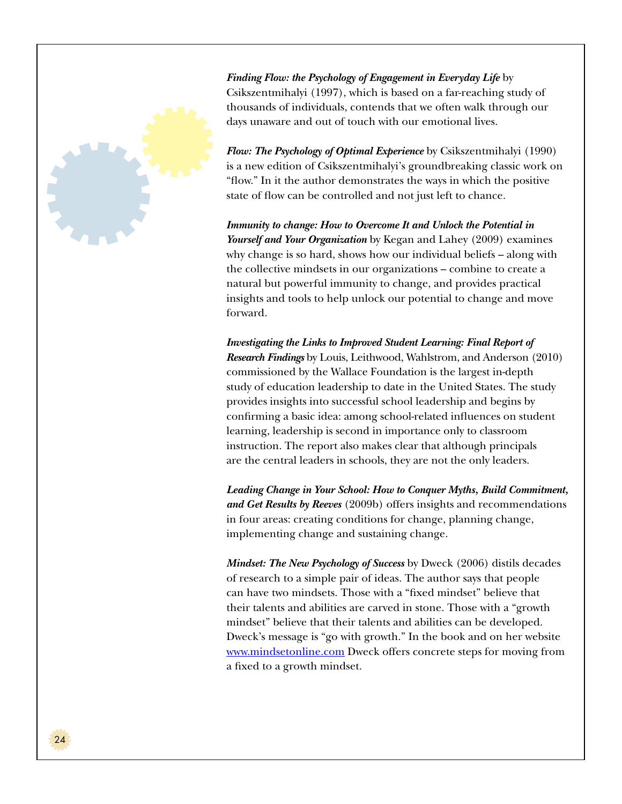

*Finding Flow: the Psychology of Engagement in Everyday Life* by Csikszentmihalyi (1997), which is based on a far-reaching study of thousands of individuals, contends that we often walk through our days unaware and out of touch with our emotional lives.

*Flow: The Psychology of Optimal Experience* by Csikszentmihalyi (1990) is a new edition of Csikszentmihalyi's groundbreaking classic work on "flow." In it the author demonstrates the ways in which the positive state of flow can be controlled and not just left to chance.

*Immunity to change: How to Overcome It and Unlock the Potential in Yourself and Your Organization* by Kegan and Lahey (2009) examines why change is so hard, shows how our individual beliefs – along with the collective mindsets in our organizations – combine to create a natural but powerful immunity to change, and provides practical insights and tools to help unlock our potential to change and move forward.

*Investigating the Links to Improved Student Learning: Final Report of Research Findings* by Louis, Leithwood, Wahlstrom, and Anderson (2010) commissioned by the Wallace Foundation is the largest in-depth study of education leadership to date in the United States. The study provides insights into successful school leadership and begins by confirming a basic idea: among school-related influences on student learning, leadership is second in importance only to classroom instruction. The report also makes clear that although principals are the central leaders in schools, they are not the only leaders.

*Leading Change in Your School: How to Conquer Myths, Build Commitment, and Get Results by Reeves* (2009b) offers insights and recommendations in four areas: creating conditions for change, planning change, implementing change and sustaining change.

*Mindset: The New Psychology of Success* by Dweck (2006) distils decades of research to a simple pair of ideas. The author says that people can have two mindsets. Those with a "fixed mindset" believe that their talents and abilities are carved in stone. Those with a "growth mindset" believe that their talents and abilities can be developed. Dweck's message is "go with growth." In the book and on her website www.mindsetonline.com Dweck offers concrete steps for moving from a fixed to a growth mindset.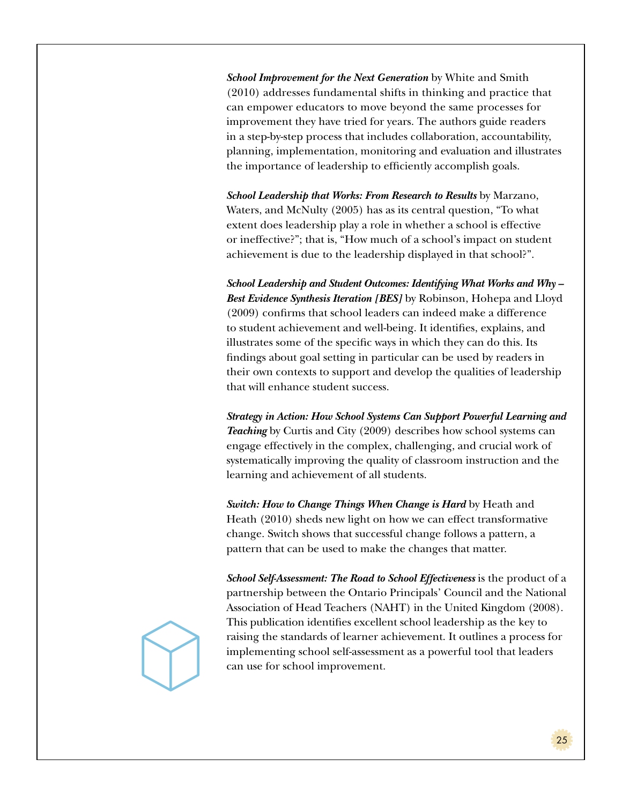*School Improvement for the Next Generation* by White and Smith (2010) addresses fundamental shifts in thinking and practice that can empower educators to move beyond the same processes for improvement they have tried for years. The authors guide readers in a step-by-step process that includes collaboration, accountability, planning, implementation, monitoring and evaluation and illustrates the importance of leadership to efficiently accomplish goals.

*School Leadership that Works: From Research to Results* by Marzano, Waters, and McNulty (2005) has as its central question, "To what extent does leadership play a role in whether a school is effective or ineffective?"; that is, "How much of a school's impact on student achievement is due to the leadership displayed in that school?".

*School Leadership and Student Outcomes: Identifying What Works and Why – Best Evidence Synthesis Iteration [BES]* by Robinson, Hohepa and Lloyd (2009) confirms that school leaders can indeed make a difference to student achievement and well-being. It identifies, explains, and illustrates some of the specific ways in which they can do this. Its findings about goal setting in particular can be used by readers in their own contexts to support and develop the qualities of leadership that will enhance student success.

*Strategy in Action: How School Systems Can Support Powerful Learning and Teaching* by Curtis and City (2009) describes how school systems can engage effectively in the complex, challenging, and crucial work of systematically improving the quality of classroom instruction and the learning and achievement of all students.

*Switch: How to Change Things When Change is Hard* by Heath and Heath (2010) sheds new light on how we can effect transformative change. Switch shows that successful change follows a pattern, a pattern that can be used to make the changes that matter.

*School Self-Assessment: The Road to School Effectiveness* is the product of a partnership between the Ontario Principals' Council and the National Association of Head Teachers (NAHT) in the United Kingdom (2008). This publication identifies excellent school leadership as the key to raising the standards of learner achievement. It outlines a process for implementing school self-assessment as a powerful tool that leaders can use for school improvement.

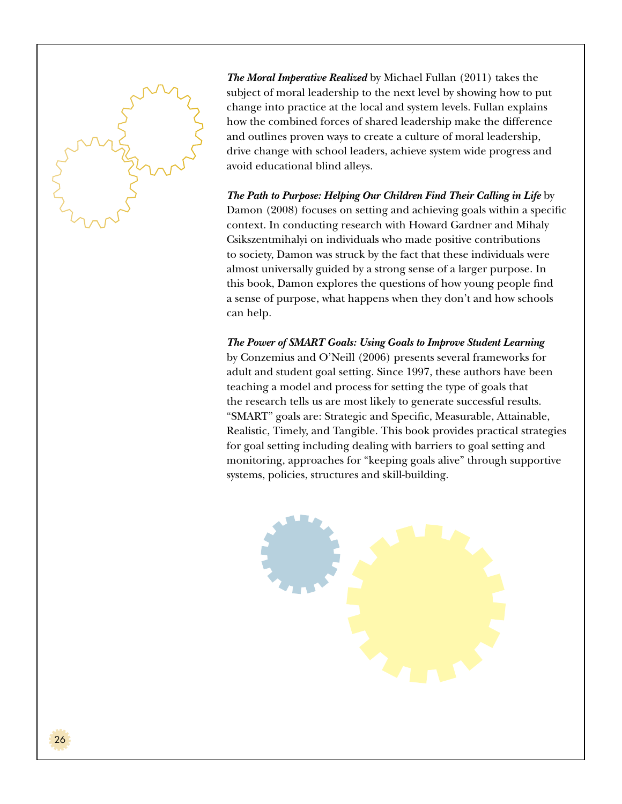

*The Moral Imperative Realized* by Michael Fullan (2011) takes the subject of moral leadership to the next level by showing how to put change into practice at the local and system levels. Fullan explains how the combined forces of shared leadership make the difference and outlines proven ways to create a culture of moral leadership, drive change with school leaders, achieve system wide progress and avoid educational blind alleys.

*The Path to Purpose: Helping Our Children Find Their Calling in Life* by Damon (2008) focuses on setting and achieving goals within a specific context. In conducting research with Howard Gardner and Mihaly Csikszentmihalyi on individuals who made positive contributions to society, Damon was struck by the fact that these individuals were almost universally guided by a strong sense of a larger purpose. In this book, Damon explores the questions of how young people find a sense of purpose, what happens when they don't and how schools can help.

*The Power of SMART Goals: Using Goals to Improve Student Learning*  by Conzemius and O'Neill (2006) presents several frameworks for adult and student goal setting. Since 1997, these authors have been teaching a model and process for setting the type of goals that the research tells us are most likely to generate successful results. "SMART" goals are: Strategic and Specific, Measurable, Attainable, Realistic, Timely, and Tangible. This book provides practical strategies for goal setting including dealing with barriers to goal setting and monitoring, approaches for "keeping goals alive" through supportive systems, policies, structures and skill-building.

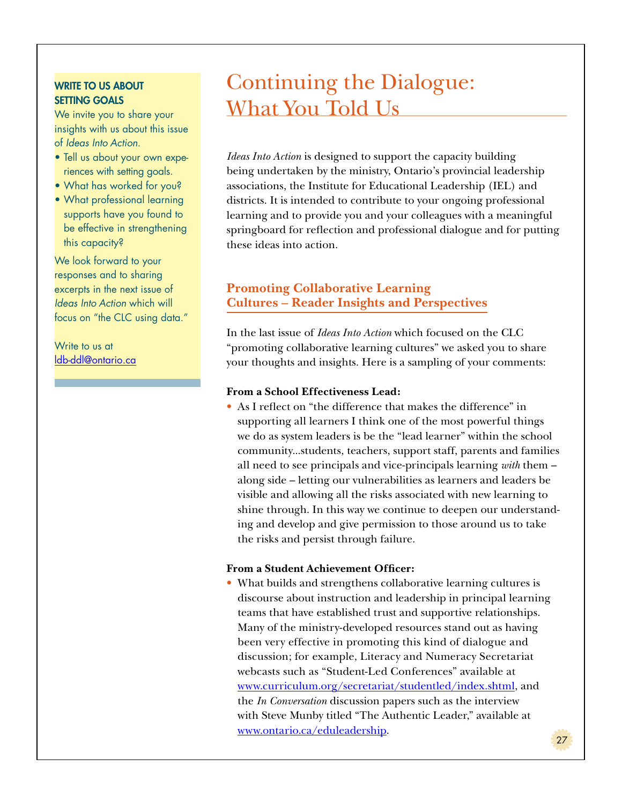### **WRITE TO US ABOUT** SETTING GOALS

We invite you to share your insights with us about this issue of *Ideas Into Action*.

- Tell us about your own experiences with setting goals.
- What has worked for you?
- What professional learning supports have you found to be effective in strengthening this capacity?

We look forward to your responses and to sharing excerpts in the next issue of *Ideas Into Action* which will focus on "the CLC using data."

## Write to us at ldb-ddl@ontario.ca

## Continuing the Dialogue: What You Told Us

*Ideas Into Action* is designed to support the capacity building being undertaken by the ministry, Ontario's provincial leadership associations, the Institute for Educational Leadership (IEL) and districts. It is intended to contribute to your ongoing professional learning and to provide you and your colleagues with a meaningful springboard for reflection and professional dialogue and for putting these ideas into action.

## **Promoting Collaborative Learning Cultures – Reader Insights and Perspectives**

In the last issue of *Ideas Into Action* which focused on the CLC "promoting collaborative learning cultures" we asked you to share your thoughts and insights. Here is a sampling of your comments:

## **From a School Effectiveness Lead:**

• As I reflect on "the difference that makes the difference" in supporting all learners I think one of the most powerful things we do as system leaders is be the "lead learner" within the school community...students, teachers, support staff, parents and families all need to see principals and vice-principals learning *with* them – along side – letting our vulnerabilities as learners and leaders be visible and allowing all the risks associated with new learning to shine through. In this way we continue to deepen our understanding and develop and give permission to those around us to take the risks and persist through failure.

### **From a Student Achievement Officer:**

• What builds and strengthens collaborative learning cultures is discourse about instruction and leadership in principal learning teams that have established trust and supportive relationships. Many of the ministry-developed resources stand out as having been very effective in promoting this kind of dialogue and discussion; for example, Literacy and Numeracy Secretariat webcasts such as "Student-Led Conferences" available at www.curriculum.org/secretariat/studentled/index.shtml, and the *In Conversation* discussion papers such as the interview with Steve Munby titled "The Authentic Leader," available at www.ontario.ca/eduleadership.

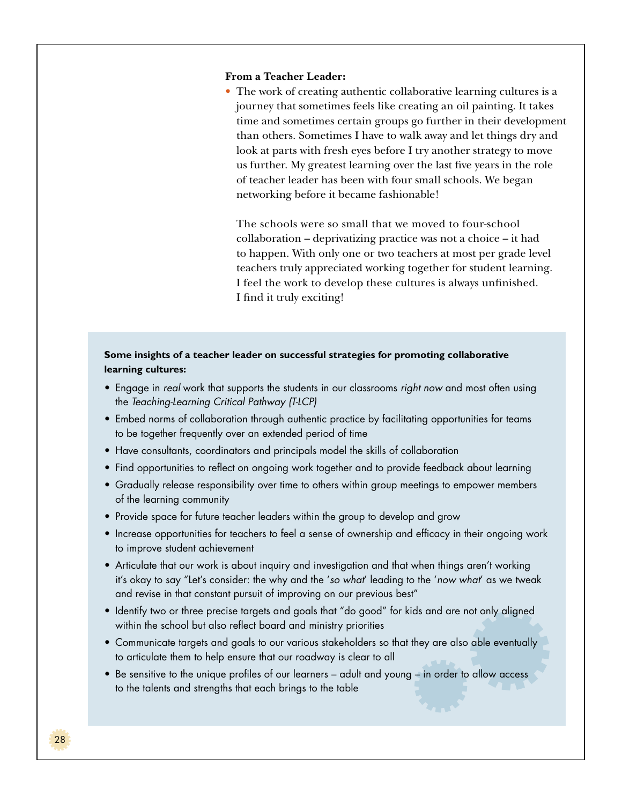#### **From a Teacher Leader:**

• The work of creating authentic collaborative learning cultures is a journey that sometimes feels like creating an oil painting. It takes time and sometimes certain groups go further in their development than others. Sometimes I have to walk away and let things dry and look at parts with fresh eyes before I try another strategy to move us further. My greatest learning over the last five years in the role of teacher leader has been with four small schools. We began networking before it became fashionable!

The schools were so small that we moved to four-school collaboration – deprivatizing practice was not a choice – it had to happen. With only one or two teachers at most per grade level teachers truly appreciated working together for student learning. I feel the work to develop these cultures is always unfinished. I find it truly exciting!

#### **Some insights of a teacher leader on successful strategies for promoting collaborative learning cultures:**

- Engage in *real* work that supports the students in our classrooms *right now* and most often using the *Teaching-Learning Critical Pathway (T-LCP)*
- Embed norms of collaboration through authentic practice by facilitating opportunities for teams to be together frequently over an extended period of time
- Have consultants, coordinators and principals model the skills of collaboration
- Find opportunities to reflect on ongoing work together and to provide feedback about learning
- Gradually release responsibility over time to others within group meetings to empower members of the learning community
- Provide space for future teacher leaders within the group to develop and grow
- Increase opportunities for teachers to feel a sense of ownership and efficacy in their ongoing work to improve student achievement
- Articulate that our work is about inquiry and investigation and that when things aren't working it's okay to say "Let's consider: the why and the '*so what*' leading to the '*now what*' as we tweak and revise in that constant pursuit of improving on our previous best"
- Identify two or three precise targets and goals that "do good" for kids and are not only aligned within the school but also reflect board and ministry priorities
- Communicate targets and goals to our various stakeholders so that they are also able eventually to articulate them to help ensure that our roadway is clear to all
- Be sensitive to the unique profiles of our learners adult and young in order to allow access to the talents and strengths that each brings to the table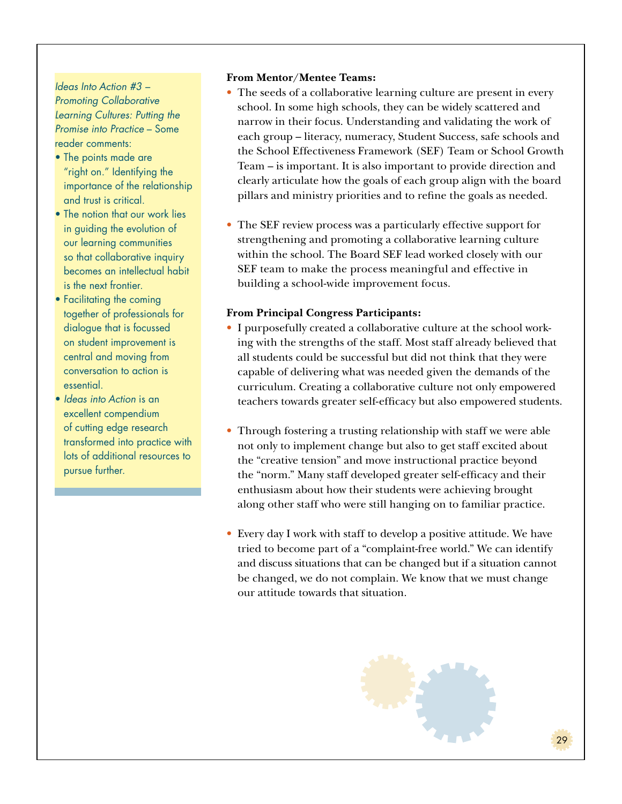## *Ideas Into Action #3 – Promoting Collaborative Learning Cultures: Putting the Promise into Practice* – Some reader comments:

- The points made are "right on." Identifying the importance of the relationship and trust is critical.
- The notion that our work lies in guiding the evolution of our learning communities so that collaborative inquiry becomes an intellectual habit is the next frontier.
- Facilitating the coming together of professionals for dialogue that is focussed on student improvement is central and moving from conversation to action is essential.
- *Ideas into Action* is an excellent compendium of cutting edge research transformed into practice with lots of additional resources to pursue further.

#### **From Mentor/Mentee Teams:**

- The seeds of a collaborative learning culture are present in every school. In some high schools, they can be widely scattered and narrow in their focus. Understanding and validating the work of each group – literacy, numeracy, Student Success, safe schools and the School Effectiveness Framework (SEF) Team or School Growth Team – is important. It is also important to provide direction and clearly articulate how the goals of each group align with the board pillars and ministry priorities and to refine the goals as needed.
- The SEF review process was a particularly effective support for strengthening and promoting a collaborative learning culture within the school. The Board SEF lead worked closely with our SEF team to make the process meaningful and effective in building a school-wide improvement focus.

### **From Principal Congress Participants:**

- I purposefully created a collaborative culture at the school working with the strengths of the staff. Most staff already believed that all students could be successful but did not think that they were capable of delivering what was needed given the demands of the curriculum. Creating a collaborative culture not only empowered teachers towards greater self-efficacy but also empowered students.
- Through fostering a trusting relationship with staff we were able not only to implement change but also to get staff excited about the "creative tension" and move instructional practice beyond the "norm." Many staff developed greater self-efficacy and their enthusiasm about how their students were achieving brought along other staff who were still hanging on to familiar practice.
- Every day I work with staff to develop a positive attitude. We have tried to become part of a "complaint-free world." We can identify and discuss situations that can be changed but if a situation cannot be changed, we do not complain. We know that we must change our attitude towards that situation.

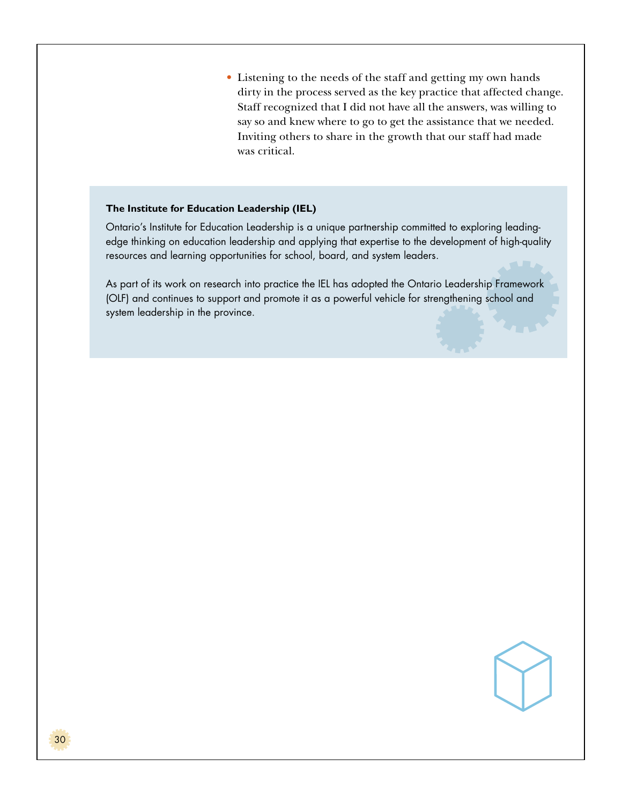• Listening to the needs of the staff and getting my own hands dirty in the process served as the key practice that affected change. Staff recognized that I did not have all the answers, was willing to say so and knew where to go to get the assistance that we needed. Inviting others to share in the growth that our staff had made was critical.

#### **The Institute for Education Leadership (IEL)**

Ontario's Institute for Education Leadership is a unique partnership committed to exploring leadingedge thinking on education leadership and applying that expertise to the development of high-quality resources and learning opportunities for school, board, and system leaders.

As part of its work on research into practice the IEL has adopted the Ontario Leadership Framework (OLF) and continues to support and promote it as a powerful vehicle for strengthening school and system leadership in the province.

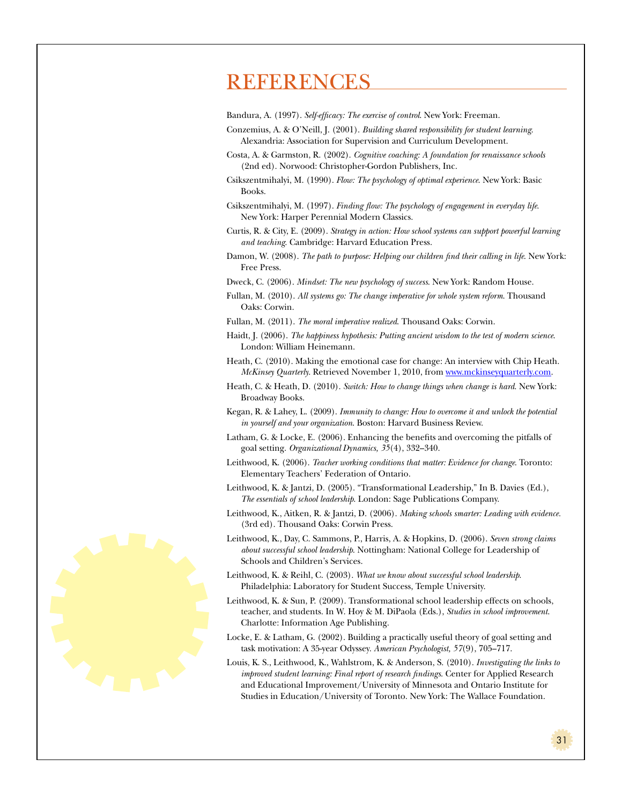## **REFERENCES**

Bandura, A. (1997). *Self-efficacy: The exercise of control*. New York: Freeman.

- Conzemius, A. & O'Neill, J. (2001). *Building shared responsibility for student learning*. Alexandria: Association for Supervision and Curriculum Development.
- Costa, A. & Garmston, R. (2002). *Cognitive coaching: A foundation for renaissance schools* (2nd ed). Norwood: Christopher-Gordon Publishers, Inc.
- Csikszentmihalyi, M. (1990). *Flow: The psychology of optimal experience*. New York: Basic Books.
- Csikszentmihalyi, M. (1997). *Finding flow: The psychology of engagement in everyday life*. New York: Harper Perennial Modern Classics.
- Curtis, R. & City, E. (2009). *Strategy in action: How school systems can support powerful learning and teaching*. Cambridge: Harvard Education Press.
- Damon, W. (2008). *The path to purpose: Helping our children find their calling in life*. New York: Free Press.
- Dweck, C. (2006). *Mindset: The new psychology of success*. New York: Random House.
- Fullan, M. (2010). *All systems go: The change imperative for whole system reform*. Thousand Oaks: Corwin.
- Fullan, M. (2011). *The moral imperative realized*. Thousand Oaks: Corwin.
- Haidt, J. (2006). *The happiness hypothesis: Putting ancient wisdom to the test of modern science*. London: William Heinemann.
- Heath, C. (2010). Making the emotional case for change: An interview with Chip Heath. *McKinsey Quarterly*. Retrieved November 1, 2010, from www.mckinseyquarterly.com.
- Heath, C. & Heath, D. (2010). *Switch: How to change things when change is hard*. New York: Broadway Books.
- Kegan, R. & Lahey, L. (2009). *Immunity to change: How to overcome it and unlock the potential in yourself and your organization*. Boston: Harvard Business Review.
- Latham, G. & Locke, E. (2006). Enhancing the benefits and overcoming the pitfalls of goal setting. *Organizational Dynamics, 35*(4), 332–340.
- Leithwood, K. (2006). *Teacher working conditions that matter: Evidence for change*. Toronto: Elementary Teachers' Federation of Ontario.
- Leithwood, K. & Jantzi, D. (2005). "Transformational Leadership," In B. Davies (Ed.), *The essentials of school leadership*. London: Sage Publications Company.
- Leithwood, K., Aitken, R. & Jantzi, D. (2006). *Making schools smarter: Leading with evidence.* (3rd ed). Thousand Oaks: Corwin Press.
- Leithwood, K., Day, C. Sammons, P., Harris, A. & Hopkins, D. (2006). *Seven strong claims about successful school leadership*. Nottingham: National College for Leadership of Schools and Children's Services.
- Leithwood, K. & Reihl, C. (2003). *What we know about successful school leadership*. Philadelphia: Laboratory for Student Success, Temple University.
- Leithwood, K. & Sun, P. (2009). Transformational school leadership effects on schools, teacher, and students. In W. Hoy & M. DiPaola (Eds.), *Studies in school improvement*. Charlotte: Information Age Publishing.
- Locke, E. & Latham, G. (2002). Building a practically useful theory of goal setting and task motivation: A 35-year Odyssey. *American Psychologist, 57*(9), 705–717.
- Louis, K. S., Leithwood, K., Wahlstrom, K. & Anderson, S. (2010). *Investigating the links to improved student learning: Final report of research findings*. Center for Applied Research and Educational Improvement/University of Minnesota and Ontario Institute for Studies in Education/University of Toronto. New York: The Wallace Foundation.